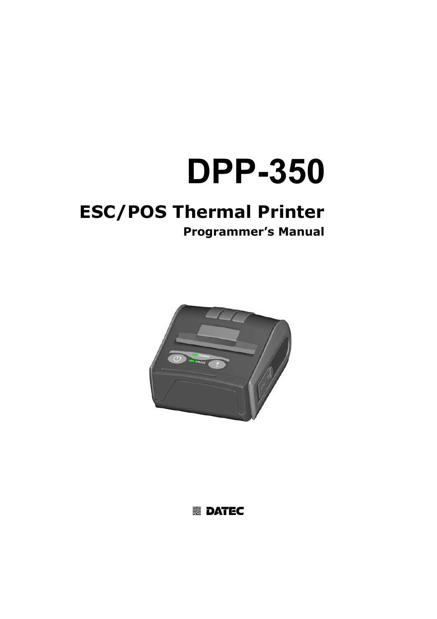# **DPP-350**

# **ESC/POS Thermal Printer**

# **Programmer's Manual**



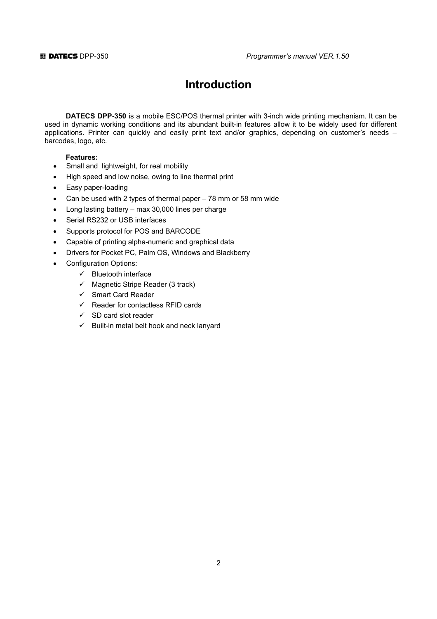# **Introduction**

**DATECS DPP-350** is a mobile ESC/POS thermal printer with 3-inch wide printing mechanism. It can be used in dynamic working conditions and its abundant built-in features allow it to be widely used for different applications. Printer can quickly and easily print text and/or graphics, depending on customer's needs – barcodes, logo, etc.

#### **Features:**

- Small and lightweight, for real mobility
- High speed and low noise, owing to line thermal print
- Easy paper-loading
- Can be used with 2 types of thermal paper 78 mm or 58 mm wide
- Long lasting battery max 30,000 lines per charge
- Serial RS232 or USB interfaces
- Supports protocol for POS and BARCODE
- Capable of printing alpha-numeric and graphical data
- Drivers for Pocket PC, Palm OS, Windows and Blackberry
- Configuration Options:
	- $\checkmark$  Bluetooth interface
	- $\checkmark$  Magnetic Stripe Reader (3 track)
	- $\checkmark$  Smart Card Reader
	- $\checkmark$  Reader for contactless RFID cards
	- $\checkmark$  SD card slot reader
	- $\checkmark$  Built-in metal belt hook and neck lanyard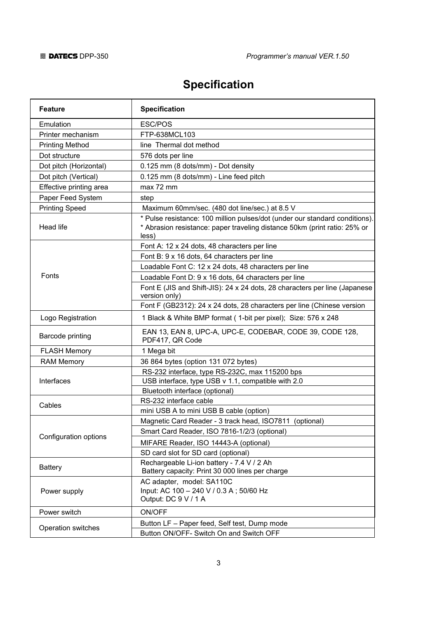# **Specification**

| <b>Feature</b>          | <b>Specification</b>                                                                                                                                              |
|-------------------------|-------------------------------------------------------------------------------------------------------------------------------------------------------------------|
| Emulation               | ESC/POS                                                                                                                                                           |
| Printer mechanism       | FTP-638MCL103                                                                                                                                                     |
| <b>Printing Method</b>  | line Thermal dot method                                                                                                                                           |
| Dot structure           | 576 dots per line                                                                                                                                                 |
| Dot pitch (Horizontal)  | 0.125 mm (8 dots/mm) - Dot density                                                                                                                                |
| Dot pitch (Vertical)    | 0.125 mm (8 dots/mm) - Line feed pitch                                                                                                                            |
| Effective printing area | max 72 mm                                                                                                                                                         |
| Paper Feed System       | step                                                                                                                                                              |
| <b>Printing Speed</b>   | Maximum 60mm/sec. (480 dot line/sec.) at 8.5 V                                                                                                                    |
| Head life               | * Pulse resistance: 100 million pulses/dot (under our standard conditions).<br>* Abrasion resistance: paper traveling distance 50km (print ratio: 25% or<br>less) |
|                         | Font A: 12 x 24 dots, 48 characters per line                                                                                                                      |
|                         | Font B: 9 x 16 dots, 64 characters per line                                                                                                                       |
|                         | Loadable Font C: 12 x 24 dots, 48 characters per line                                                                                                             |
| Fonts                   | Loadable Font D: 9 x 16 dots, 64 characters per line                                                                                                              |
|                         | Font E (JIS and Shift-JIS): 24 x 24 dots, 28 characters per line (Japanese<br>version only)                                                                       |
|                         | Font F (GB2312): 24 x 24 dots, 28 characters per line (Chinese version                                                                                            |
| Logo Registration       | 1 Black & White BMP format (1-bit per pixel); Size: 576 x 248                                                                                                     |
| Barcode printing        | EAN 13, EAN 8, UPC-A, UPC-E, CODEBAR, CODE 39, CODE 128,<br>PDF417, QR Code                                                                                       |
| <b>FLASH Memory</b>     | 1 Mega bit                                                                                                                                                        |
| <b>RAM Memory</b>       | 36 864 bytes (option 131 072 bytes)                                                                                                                               |
|                         | RS-232 interface, type RS-232C, max 115200 bps                                                                                                                    |
| Interfaces              | USB interface, type USB v 1.1, compatible with 2.0                                                                                                                |
|                         | Bluetooth interface (optional)                                                                                                                                    |
| Cables                  | RS-232 interface cable                                                                                                                                            |
|                         | mini USB A to mini USB B cable (option)                                                                                                                           |
|                         | Magnetic Card Reader - 3 track head, ISO7811 (optional)                                                                                                           |
| Configuration options   | Smart Card Reader, ISO 7816-1/2/3 (optional)                                                                                                                      |
|                         | MIFARE Reader, ISO 14443-A (optional)                                                                                                                             |
|                         | SD card slot for SD card (optional)                                                                                                                               |
| Battery                 | Rechargeable Li-ion battery - 7.4 V / 2 Ah<br>Battery capacity: Print 30 000 lines per charge                                                                     |
| Power supply            | AC adapter, model: SA110C<br>Input: AC 100 - 240 V / 0.3 A ; 50/60 Hz<br>Output: DC 9 V / 1 A                                                                     |
| Power switch            | ON/OFF                                                                                                                                                            |
|                         | Button LF - Paper feed, Self test, Dump mode                                                                                                                      |
| Operation switches      | Button ON/OFF- Switch On and Switch OFF                                                                                                                           |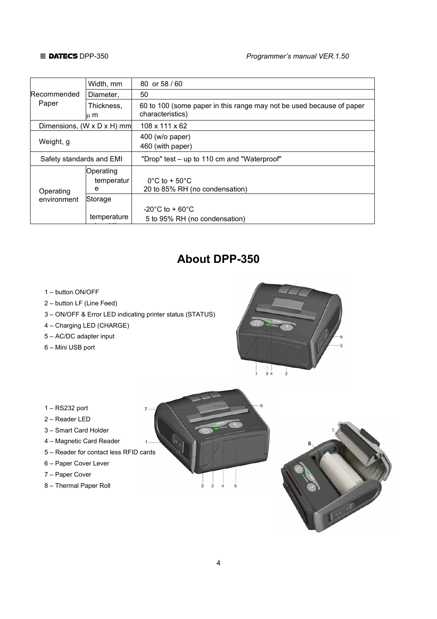#### **图 DATECS** DPP-350 **Programmer's manual VER.1.50**

|                          | Width, mm                              | 80 or 58 / 60                                                                            |
|--------------------------|----------------------------------------|------------------------------------------------------------------------------------------|
| <b>Recommended</b>       | Diameter.                              | 50                                                                                       |
| Paper                    | Thickness.<br>ս m                      | 60 to 100 (some paper in this range may not be used because of paper<br>characteristics) |
|                          | Dimensions, $(W \times D \times H)$ mm | $108 \times 111 \times 62$                                                               |
| Weight, g                |                                        | 400 (w/o paper)<br>460 (with paper)                                                      |
| Safety standards and EMI |                                        | "Drop" test – up to 110 cm and "Waterproof"                                              |
| Operating                | Operating<br>temperatur<br>e           | $0^{\circ}$ C to + 50 $^{\circ}$ C<br>20 to 85% RH (no condensation)                     |
| environment              | Storage                                |                                                                                          |
|                          | temperature                            | $-20^{\circ}$ C to + 60 $^{\circ}$ C<br>5 to 95% RH (no condensation)                    |

# **About DPP-350**

- 1 button ON/OFF
- 2 button LF (Line Feed)
- 3 ON/OFF & Error LED indicating printer status (STATUS)
- 4 Charging LED (CHARGE)
- 5 AC/DC adapter input
- 6 Mini USB port



### 1 – RS232 port

- 2 Reader LED
- 3 Smart Card Holder
- 4 Magnetic Card Reader
- 5 Reader for contact less RFID cards
- 6 Paper Cover Lever
- 7 Paper Cover
- 8 Thermal Paper Roll



 $\frac{1}{2}$  $\overline{3}$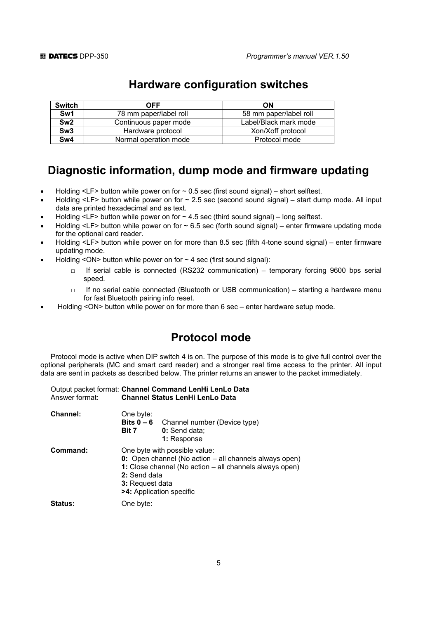| <b>Switch</b>   | <b>OFF</b>             | ON                     |
|-----------------|------------------------|------------------------|
| Sw1             | 78 mm paper/label roll | 58 mm paper/label roll |
| Sw <sub>2</sub> | Continuous paper mode  | Label/Black mark mode  |
| Sw <sub>3</sub> | Hardware protocol      | Xon/Xoff protocol      |
| Sw4             | Normal operation mode  | Protocol mode          |

# **Hardware configuration switches**

# **Diagnostic information, dump mode and firmware updating**

- Holding  $\leq$  LF> button while power on for  $\sim$  0.5 sec (first sound signal) short selftest.
- Holding <LF> button while power on for  $\sim$  2.5 sec (second sound signal) start dump mode. All input data are printed hexadecimal and as text.
- Holding  $\leq$  LF> button while power on for  $\sim$  4.5 sec (third sound signal) long selftest.
- Holding <LF> button while power on for  $\sim$  6.5 sec (forth sound signal) enter firmware updating mode for the optional card reader.
- Holding <LF> button while power on for more than 8.5 sec (fifth 4-tone sound signal) enter firmware updating mode.
- Holding <ON> button while power on for  $\sim$  4 sec (first sound signal):
	- □ If serial cable is connected (RS232 communication) temporary forcing 9600 bps serial speed.
	- □ If no serial cable connected (Bluetooth or USB communication) starting a hardware menu for fast Bluetooth pairing info reset.
- Holding <ON> button while power on for more than 6 sec enter hardware setup mode.

# **Protocol mode**

Protocol mode is active when DIP switch 4 is on. The purpose of this mode is to give full control over the optional peripherals (MC and smart card reader) and a stronger real time access to the printer. All input data are sent in packets as described below. The printer returns an answer to the packet immediately.

|                | Output packet format: Channel Command LenHi LenLo Data |
|----------------|--------------------------------------------------------|
| Answer format: | <b>Channel Status LenHi LenLo Data</b>                 |

| <b>Channel:</b> | One byte:<br>Bits $0 - 6$<br>Bit 7 | Channel number (Device type)<br>0: Send data;<br>1: Response                                                                                                                                                      |  |
|-----------------|------------------------------------|-------------------------------------------------------------------------------------------------------------------------------------------------------------------------------------------------------------------|--|
| Command:        |                                    | One byte with possible value:<br>0: Open channel (No action - all channels always open)<br>1: Close channel (No action – all channels always open)<br>2: Send data<br>3: Request data<br>>4: Application specific |  |
| <b>Status:</b>  | One byte:                          |                                                                                                                                                                                                                   |  |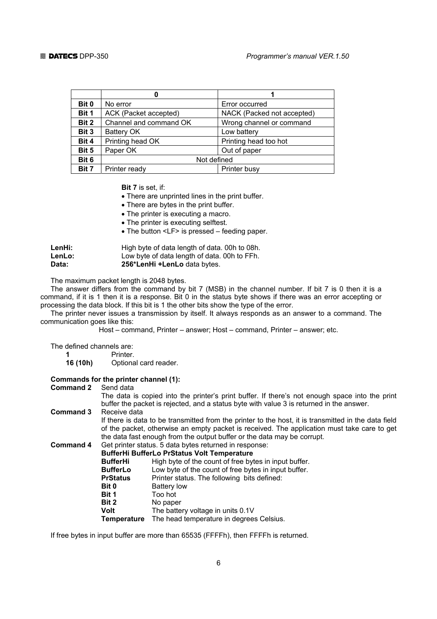| Bit 0 | No error                                  | Error occurred             |
|-------|-------------------------------------------|----------------------------|
| Bit 1 | ACK (Packet accepted)                     | NACK (Packed not accepted) |
| Bit 2 | Channel and command OK                    | Wrong channel or command   |
| Bit 3 | Battery OK                                | Low battery                |
| Bit 4 | Printing head OK<br>Printing head too hot |                            |
| Bit 5 | Paper OK<br>Out of paper                  |                            |
| Bit 6 | Not defined                               |                            |
| Bit 7 | Printer busy<br>Printer ready             |                            |

 **Bit 7** is set, if:

- There are unprinted lines in the print buffer.
- There are bytes in the print buffer.
- The printer is executing a macro.
- The printer is executing selftest.
- The button <LF> is pressed feeding paper.

| LenHi: | High byte of data length of data. 00h to 08h. |
|--------|-----------------------------------------------|
| LenLo: | Low byte of data length of data. 00h to FFh.  |
| Data:  | 256*LenHi +LenLo data bytes.                  |

The maximum packet length is 2048 bytes.

The answer differs from the command by bit 7 (MSB) in the channel number. If bit 7 is 0 then it is a command, if it is 1 then it is a response. Bit 0 in the status byte shows if there was an error accepting or processing the data block. If this bit is 1 the other bits show the type of the error.

The printer never issues a transmission by itself. It always responds as an answer to a command. The communication goes like this:

Host – command, Printer – answer; Host – command, Printer – answer; etc.

The defined channels are:

**1** Printer.

**16 (10h)** Optional card reader.

#### **Commands for the printer channel (1):**

#### **Command 2** Send data

 The data is copied into the printer's print buffer. If there's not enough space into the print buffer the packet is rejected, and a status byte with value 3 is returned in the answer.

**Command 3** Receive data

 If there is data to be transmitted from the printer to the host, it is transmitted in the data field of the packet, otherwise an empty packet is received. The application must take care to get the data fast enough from the output buffer or the data may be corrupt.

**Command 4** Get printer status. 5 data bytes returned in response:  **BufferHi BufferLo PrStatus Volt Temperature** 

| <b>BufferHi</b>    | High byte of the count of free bytes in input buffer. |
|--------------------|-------------------------------------------------------|
| <b>BufferLo</b>    | Low byte of the count of free bytes in input buffer.  |
| <b>PrStatus</b>    | Printer status. The following bits defined:           |
| Bit 0              | <b>Battery low</b>                                    |
| Bit 1              | Too hot                                               |
| Bit 2              | No paper                                              |
| <b>Volt</b>        | The battery voltage in units 0.1V                     |
| <b>Temperature</b> | The head temperature in degrees Celsius.              |
|                    |                                                       |

If free bytes in input buffer are more than 65535 (FFFFh), then FFFFh is returned.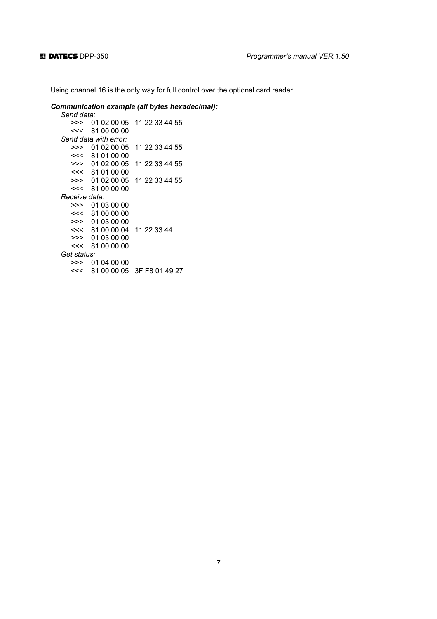Using channel 16 is the only way for full control over the optional card reader.

#### *Communication example (all bytes hexadecimal):*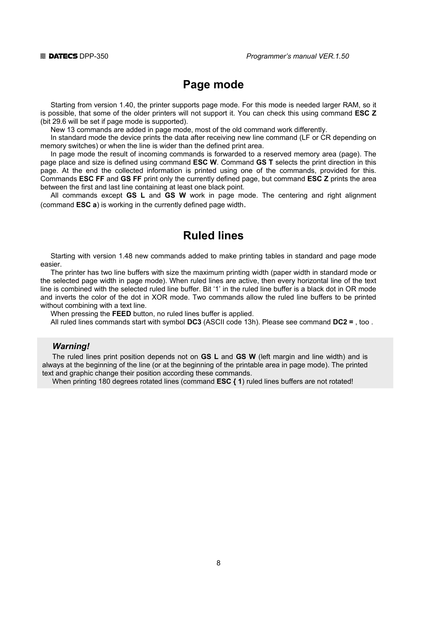# **Page mode**

Starting from version 1.40, the printer supports page mode. For this mode is needed larger RAM, so it is possible, that some of the older printers will not support it. You can check this using command **ESC Z** (bit 29.6 will be set if page mode is supported).

New 13 commands are added in page mode, most of the old command work differently.

In standard mode the device prints the data after receiving new line command (LF or CR depending on memory switches) or when the line is wider than the defined print area.

In page mode the result of incoming commands is forwarded to a reserved memory area (page). The page place and size is defined using command **ESC W**. Command **GS T** selects the print direction in this page. At the end the collected information is printed using one of the commands, provided for this. Commands **ESC FF** and **GS FF** print only the currently defined page, but command **ESC Z** prints the area between the first and last line containing at least one black point.

All commands except **GS L** and **GS W** work in page mode. The centering and right alignment (command **ESC a**) is working in the currently defined page width.

## **Ruled lines**

Starting with version 1.48 new commands added to make printing tables in standard and page mode easier.

The printer has two line buffers with size the maximum printing width (paper width in standard mode or the selected page width in page mode). When ruled lines are active, then every horizontal line of the text line is combined with the selected ruled line buffer. Bit '1' in the ruled line buffer is a black dot in OR mode and inverts the color of the dot in XOR mode. Two commands allow the ruled line buffers to be printed without combining with a text line.

When pressing the **FEED** button, no ruled lines buffer is applied.

All ruled lines commands start with symbol **DC3** (ASCII code 13h). Please see command **DC2 =** , too .

#### *Warning!*

The ruled lines print position depends not on **GS L** and **GS W** (left margin and line width) and is always at the beginning of the line (or at the beginning of the printable area in page mode). The printed text and graphic change their position according these commands.

When printing 180 degrees rotated lines (command **ESC { 1**) ruled lines buffers are not rotated!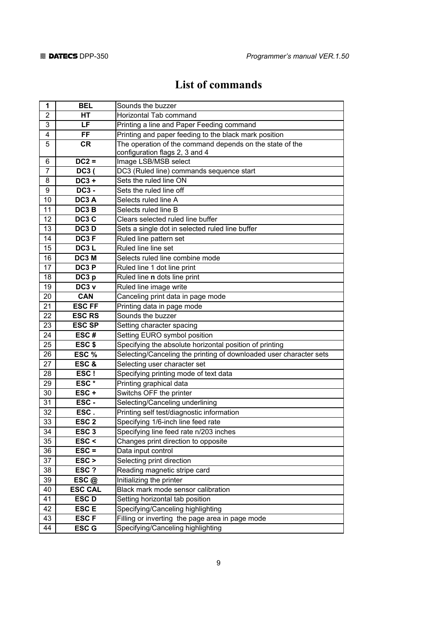# **List of commands**

| 1               | <b>BEL</b>       | Sounds the buzzer                                                  |
|-----------------|------------------|--------------------------------------------------------------------|
| 2               | HТ               | Horizontal Tab command                                             |
| 3               | LF               | Printing a line and Paper Feeding command                          |
| 4               | <b>FF</b>        | Printing and paper feeding to the black mark position              |
| 5               | <b>CR</b>        | The operation of the command depends on the state of the           |
|                 |                  | configuration flags 2, 3 and 4                                     |
| 6               | $DC2 =$          | Image LSB/MSB select                                               |
| $\overline{7}$  | DC3(             | DC3 (Ruled line) commands sequence start                           |
| 8               | $DC3 +$          | Sets the ruled line ON                                             |
| 9               | <b>DC3 -</b>     | Sets the ruled line off                                            |
| 10              | DC3 A            | Selects ruled line A                                               |
| 11              | DC3 B            | Selects ruled line B                                               |
| 12              | DC3 C            | Clears selected ruled line buffer                                  |
| 13              | DC3 D            | Sets a single dot in selected ruled line buffer                    |
| 14              | DC3F             | Ruled line pattern set                                             |
| 15              | DC3L             | Ruled line line set                                                |
| 16              | DC3 M            | Selects ruled line combine mode                                    |
| 17              | DC3 P            | Ruled line 1 dot line print                                        |
| 18              | DC3 p            | Ruled line n dots line print                                       |
| 19              | DC3 v            | Ruled line image write                                             |
| 20              | <b>CAN</b>       | Canceling print data in page mode                                  |
| 21              | <b>ESC FF</b>    | Printing data in page mode                                         |
| 22              | <b>ESC RS</b>    | Sounds the buzzer                                                  |
| 23              | <b>ESC SP</b>    | Setting character spacing                                          |
| 24              | ESC#             | Setting EURO symbol position                                       |
| 25              | ESC \$           | Specifying the absolute horizontal position of printing            |
| 26              | ESC %            | Selecting/Canceling the printing of downloaded user character sets |
| 27              | ESC&             | Selecting user character set                                       |
| 28              | ESC!             | Specifying printing mode of text data                              |
| 29              | ESC*             | Printing graphical data                                            |
| 30              | ESC+             | Switchs OFF the printer                                            |
| 31              | ESC-             | Selecting/Canceling underlining                                    |
| 32              | ESC.             | Printing self test/diagnostic information                          |
| 33              | ESC <sub>2</sub> | Specifying 1/6-inch line feed rate                                 |
| $\overline{34}$ | ESC <sub>3</sub> | Specifying line feed rate n/203 inches                             |
| 35              | $\textsf{esc}$ < | Changes print direction to opposite                                |
| 36              | $\mathsf{ESC} =$ | Data input control                                                 |
| 37              | ESC >            | Selecting print direction                                          |
| 38              | ESC ?            | Reading magnetic stripe card                                       |
| 39              | ESC@             | Initializing the printer                                           |
| 40              | <b>ESC CAL</b>   | Black mark mode sensor calibration                                 |
| 41              | <b>ESCD</b>      | Setting horizontal tab position                                    |
| 42              | <b>ESCE</b>      | Specifying/Canceling highlighting                                  |
| 43              | <b>ESCF</b>      | Filling or inverting the page area in page mode                    |
| 44              | <b>ESC G</b>     | Specifying/Canceling highlighting                                  |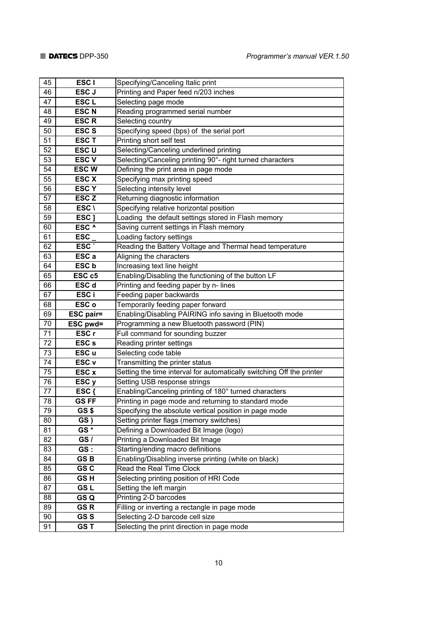| 45 | ESC <sub>I</sub>  | Specifying/Canceling Italic print                                     |
|----|-------------------|-----------------------------------------------------------------------|
| 46 | ESC J             | Printing and Paper feed n/203 inches                                  |
| 47 | ESC <sub>L</sub>  | Selecting page mode                                                   |
| 48 | <b>ESCN</b>       | Reading programmed serial number                                      |
| 49 | <b>ESCR</b>       | Selecting country                                                     |
| 50 | <b>ESCS</b>       | Specifying speed (bps) of the serial port                             |
| 51 | <b>ESCT</b>       | Printing short self test                                              |
| 52 | ESC <sub>U</sub>  | Selecting/Canceling underlined printing                               |
| 53 | <b>ESCV</b>       | Selecting/Canceling printing 90°- right turned characters             |
| 54 | <b>ESCW</b>       | Defining the print area in page mode                                  |
| 55 | <b>ESC X</b>      | Specifying max printing speed                                         |
| 56 | <b>ESCY</b>       | Selecting intensity level                                             |
| 57 | ESC <sub>Z</sub>  | Returning diagnostic information                                      |
| 58 | ESC \             | Specifying relative horizontal position                               |
| 59 | ESC ]             | Loading the default settings stored in Flash memory                   |
| 60 | ESC <sup>^</sup>  | Saving current settings in Flash memory                               |
| 61 | <b>ESC</b>        | Loading factory settings                                              |
| 62 | ESC <sup>-</sup>  | Reading the Battery Voltage and Thermal head temperature              |
| 63 | ESC a             | Aligning the characters                                               |
| 64 | ESC b             | Increasing text line height                                           |
| 65 | ESC <sub>c5</sub> | Enabling/Disabling the functioning of the button LF                   |
| 66 | ESC <sub>d</sub>  | Printing and feeding paper by n- lines                                |
| 67 | ESC i             | Feeding paper backwards                                               |
| 68 | ESC o             | Temporarily feeding paper forward                                     |
| 69 | <b>ESC pair=</b>  | Enabling/Disabling PAIRING info saving in Bluetooth mode              |
| 70 | ESC pwd=          | Programming a new Bluetooth password (PIN)                            |
| 71 | ESC <sub>r</sub>  | Full command for sounding buzzer                                      |
| 72 | ESC <sub>s</sub>  | Reading printer settings                                              |
| 73 | ESC <sub>u</sub>  | Selecting code table                                                  |
| 74 | ESC <sub>v</sub>  | Transmitting the printer status                                       |
| 75 | ESC x             | Setting the time interval for automatically switching Off the printer |
| 76 | ESC <sub>y</sub>  | Setting USB response strings                                          |
| 77 | ESC {             | Enabling/Canceling printing of 180° turned characters                 |
| 78 | <b>GSFF</b>       | Printing in page mode and returning to standard mode                  |
| 79 | GS\$              | Specifying the absolute vertical position in page mode                |
| 80 | GS)               | Setting printer flags (memory switches)                               |
| 81 | GS*               | Defining a Downloaded Bit Image (logo)                                |
| 82 | GS/               | Printing a Downloaded Bit Image                                       |
| 83 | GS:               | Starting/ending macro definitions                                     |
| 84 | GS <sub>B</sub>   | Enabling/Disabling inverse printing (white on black)                  |
| 85 | GS C              | Read the Real Time Clock                                              |
| 86 | GS <sub>H</sub>   | Selecting printing position of HRI Code                               |
| 87 | <b>GSL</b>        | Setting the left margin                                               |
| 88 | GS Q              | Printing 2-D barcodes                                                 |
| 89 | GS <sub>R</sub>   | Filling or inverting a rectangle in page mode                         |
|    |                   |                                                                       |
| 90 | GS <sub>S</sub>   | Selecting 2-D barcode cell size                                       |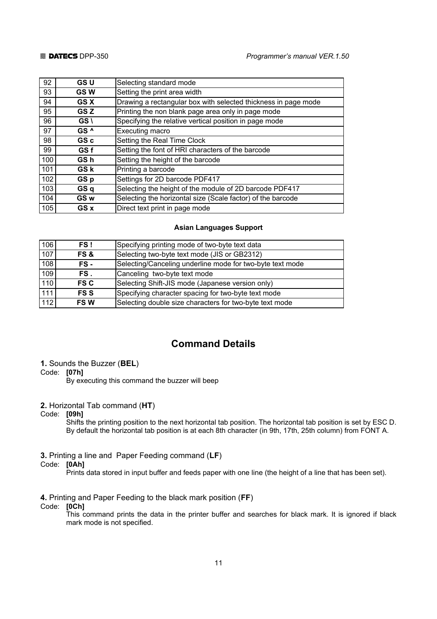| 92  | <b>GSU</b>      | Selecting standard mode                                        |
|-----|-----------------|----------------------------------------------------------------|
| 93  | <b>GSW</b>      | Setting the print area width                                   |
| 94  | <b>GSX</b>      | Drawing a rectangular box with selected thickness in page mode |
| 95  | GS Z            | Printing the non blank page area only in page mode             |
| 96  | GS \            | Specifying the relative vertical position in page mode         |
| 97  | GS <sup>^</sup> | Executing macro                                                |
| 98  | GS c            | Setting the Real Time Clock                                    |
| 99  | GS f            | Setting the font of HRI characters of the barcode              |
| 100 | GS h            | Setting the height of the barcode                              |
| 101 | GS k            | Printing a barcode                                             |
| 102 | GS p            | Settings for 2D barcode PDF417                                 |
| 103 | GS q            | Selecting the height of the module of 2D barcode PDF417        |
| 104 | GS w            | Selecting the horizontal size (Scale factor) of the barcode    |
| 105 | GS x            | Direct text print in page mode                                 |

#### **Asian Languages Support**

| 106              | FS!         | Specifying printing mode of two-byte text data            |
|------------------|-------------|-----------------------------------------------------------|
| 107              | FS &        | Selecting two-byte text mode (JIS or GB2312)              |
| 108              | FS -        | Selecting/Canceling underline mode for two-byte text mode |
| 109              | FS.         | Canceling two-byte text mode                              |
| $\overline{110}$ | <b>FS C</b> | Selecting Shift-JIS mode (Japanese version only)          |
| 111              | <b>FSS</b>  | Specifying character spacing for two-byte text mode       |
| 112              | <b>FSW</b>  | Selecting double size characters for two-byte text mode   |

### **Command Details**

#### **1.** Sounds the Buzzer (**BEL**)

#### Code: **[07h]**

By executing this command the buzzer will beep

#### **2.** Horizontal Tab command (**HT**)

#### Code: **[09h]**

 Shifts the printing position to the next horizontal tab position. The horizontal tab position is set by ESC D. By default the horizontal tab position is at each 8th character (in 9th, 17th, 25th column) from FONT A.

#### **3.** Printing a line and Paper Feeding command (**LF**)

### Code: **[0Ah]**

Prints data stored in input buffer and feeds paper with one line (the height of a line that has been set).

### **4.** Printing and Paper Feeding to the black mark position (**FF**)

#### Code: **[0Ch]**

 This command prints the data in the printer buffer and searches for black mark. It is ignored if black mark mode is not specified.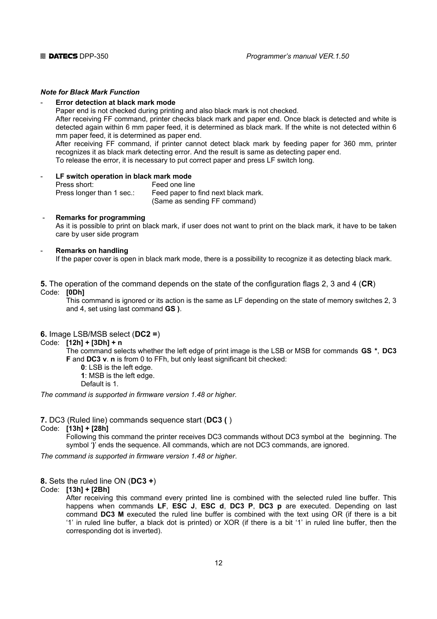### *Note for Black Mark Function*

#### **Error detection at black mark mode**

Paper end is not checked during printing and also black mark is not checked.

After receiving FF command, printer checks black mark and paper end. Once black is detected and white is detected again within 6 mm paper feed, it is determined as black mark. If the white is not detected within 6 mm paper feed, it is determined as paper end.

After receiving FF command, if printer cannot detect black mark by feeding paper for 360 mm, printer recognizes it as black mark detecting error. And the result is same as detecting paper end.

To release the error, it is necessary to put correct paper and press LF switch long.

#### LF switch operation in black mark mode Press short: Feed one line Press longer than 1 sec.: Feed paper to find next black mark. (Same as sending FF command)

#### - **Remarks for programming**

As it is possible to print on black mark, if user does not want to print on the black mark, it have to be taken care by user side program

#### - **Remarks on handling**

If the paper cover is open in black mark mode, there is a possibility to recognize it as detecting black mark.

#### **5.** The operation of the command depends on the state of the configuration flags 2, 3 and 4 (**CR**) Code: **[0Dh]**

 This command is ignored or its action is the same as LF depending on the state of memory switches 2, 3 and 4, set using last command **GS )**.

#### **6.** Image LSB/MSB select (**DC2 =**)

#### Code: **[12h] + [3Dh] + n**

 The command selects whether the left edge of print image is the LSB or MSB for commands **GS \***, **DC3 F** and **DC3 v**. **n** is from 0 to FFh, but only least significant bit checked:

 **0**: LSB is the left edge.

 **1**: MSB is the left edge.

Default is 1.

*The command is supported in firmware version 1.48 or higher.* 

#### **7.** DC3 (Ruled line) commands sequence start (**DC3 (** )

#### Code: **[13h] + [28h]**

 Following this command the printer receives DC3 commands without DC3 symbol at the beginning. The symbol '**)**' ends the sequence. All commands, which are not DC3 commands, are ignored.

*The command is supported in firmware version 1.48 or higher*.

#### **8.** Sets the ruled line ON (**DC3 +**)

#### Code: **[13h] + [2Bh]**

 After receiving this command every printed line is combined with the selected ruled line buffer. This happens when commands **LF**, **ESC J**, **ESC d**, **DC3 P**, **DC3 p** are executed. Depending on last command **DC3 M** executed the ruled line buffer is combined with the text using OR (if there is a bit '1' in ruled line buffer, a black dot is printed) or XOR (if there is a bit '1' in ruled line buffer, then the corresponding dot is inverted).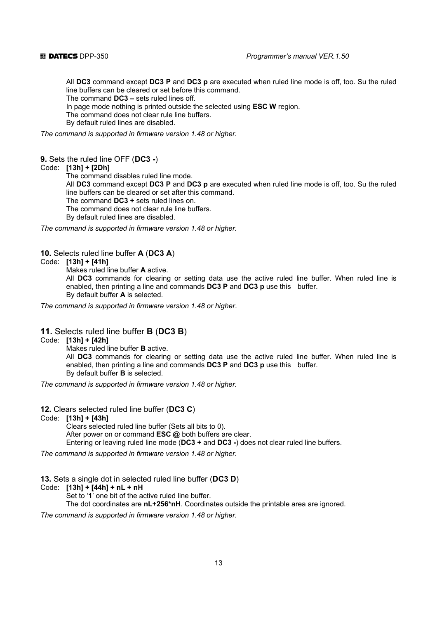All **DC3** command except **DC3 P** and **DC3 p** are executed when ruled line mode is off, too. Su the ruled line buffers can be cleared or set before this command.

The command **DC3 –** sets ruled lines off.

In page mode nothing is printed outside the selected using **ESC W** region.

The command does not clear rule line buffers.

By default ruled lines are disabled.

*The command is supported in firmware version 1.48 or higher.* 

#### **9.** Sets the ruled line OFF (**DC3 -**)

Code: **[13h] + [2Dh]**

The command disables ruled line mode.

 All **DC3** command except **DC3 P** and **DC3 p** are executed when ruled line mode is off, too. Su the ruled line buffers can be cleared or set after this command.

The command **DC3 +** sets ruled lines on.

The command does not clear rule line buffers.

By default ruled lines are disabled.

*The command is supported in firmware version 1.48 or higher.* 

### **10.** Selects ruled line buffer **A** (**DC3 A**)

#### Code: **[13h] + [41h]**

Makes ruled line buffer **A** active.

 All **DC3** commands for clearing or setting data use the active ruled line buffer. When ruled line is enabled, then printing a line and commands **DC3 P** and **DC3 p** use this buffer. By default buffer **А** is selected.

*The command is supported in firmware version 1.48 or higher*.

#### **11.** Selects ruled line buffer **B** (**DC3 B**)

Code: **[13h] + [42h]**

Makes ruled line buffer **B** active.

 All **DC3** commands for clearing or setting data use the active ruled line buffer. When ruled line is enabled, then printing a line and commands **DC3 P** and **DC3 p** use this buffer. By default buffer **B** is selected.

*The command is supported in firmware version 1.48 or higher.* 

**12.** Clears selected ruled line buffer (**DC3 C**)

#### Code: **[13h] + [43h]**

 Clears selected ruled line buffer (Sets all bits to 0). After power on or command **ESC @** both buffers are clear. Entering or leaving ruled line mode (**DC3 +** and **DC3 -**) does not clear ruled line buffers.

*The command is supported in firmware version 1.48 or higher.* 

**13.** Sets a single dot in selected ruled line buffer (**DC3 D**)

Code: **[13h] + [44h] + nL + nH**

Set to '**1**' one bit of the active ruled line buffer.

The dot coordinates are **nL+256\*nH**. Coordinates outside the printable area are ignored.

*The command is supported in firmware version 1.48 or higher.*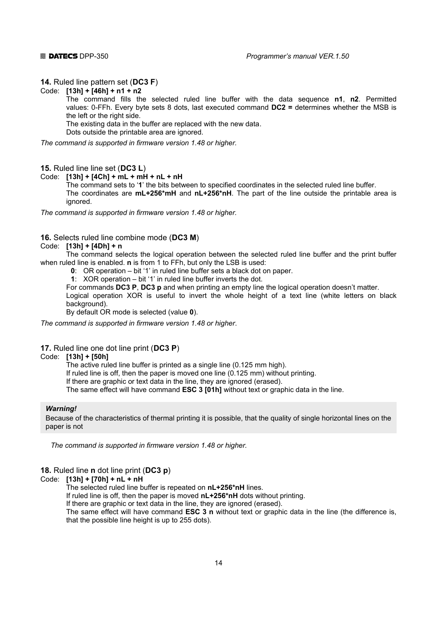#### **14.** Ruled line pattern set (**DC3 F**)

#### Code: **[13h] + [46h] + n1 + n2**

 The command fills the selected ruled line buffer with the data sequence **n1**, **n2**. Permitted values: 0-FFh. Every byte sets 8 dots, last executed command **DC2 =** determines whether the MSB is the left or the right side.

The existing data in the buffer are replaced with the new data.

Dots outside the printable area are ignored.

*The command is supported in firmware version 1.48 or higher.* 

#### **15.** Ruled line line set (**DC3 L**)

Code: **[13h] + [4Ch] + mL + mH + nL + nH**

The command sets to '**1**' the bits between to specified coordinates in the selected ruled line buffer.

 The coordinates are **mL+256\*mH** and **nL+256\*nH**. The part of the line outside the printable area is ignored.

*The command is supported in firmware version 1.48 or higher.* 

### **16.** Selects ruled line combine mode (**DC3 M**)

#### Code: **[13h] + [4Dh] + n**

 The command selects the logical operation between the selected ruled line buffer and the print buffer when ruled line is enabled. **n** is from 1 to FFh, but only the LSB is used:

- **0**: OR operation bit '1' in ruled line buffer sets a black dot on paper.
- **1**: XOR operation bit '1' in ruled line buffer inverts the dot.

For commands **DC3 P**, **DC3 p** and when printing an empty line the logical operation doesn't matter.

 Logical operation XOR is useful to invert the whole height of a text line (white letters on black background).

By default OR mode is selected (value **0**).

*The command is supported in firmware version 1.48 or higher*.

#### **17.** Ruled line one dot line print (**DC3 P**)

#### Code: **[13h] + [50h]**

The active ruled line buffer is printed as a single line (0.125 mm high).

If ruled line is off, then the paper is moved one line (0.125 mm) without printing.

If there are graphic or text data in the line, they are ignored (erased).

The same effect will have command **ESC 3 [01h]** without text or graphic data in the line.

#### **Warning!**

Because of the characteristics of thermal printing it is possible, that the quality of single horizontal lines on the paper is not

*The command is supported in firmware version 1.48 or higher.* 

### **18.** Ruled line **n** dot line print (**DC3 p**)

Code: **[13h] + [70h] + nL + nH** 

The selected ruled line buffer is repeated on **nL+256\*nH** lines.

If ruled line is off, then the paper is moved **nL+256\*nH** dots without printing.

If there are graphic or text data in the line, they are ignored (erased).

 The same effect will have command **ESC 3 n** without text or graphic data in the line (the difference is, that the possible line height is up to 255 dots).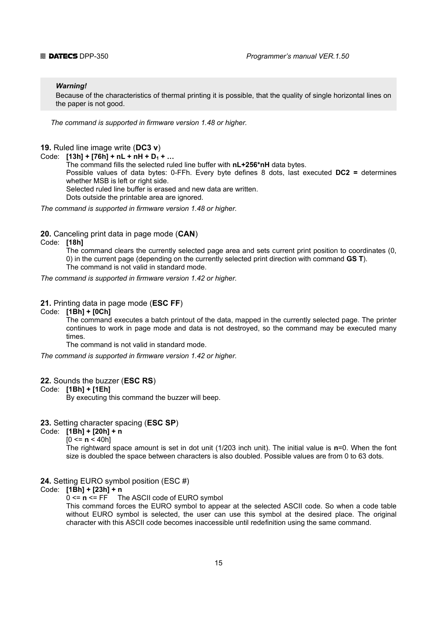#### *Warning!*

Because of the characteristics of thermal printing it is possible, that the quality of single horizontal lines on the paper is not good.

*The command is supported in firmware version 1.48 or higher.* 

#### **19.** Ruled line image write (**DC3 v**)

Code:  $[13h] + [76h] + nL + nH + D_1 + ...$ 

 The command fills the selected ruled line buffer with **nL+256\*nH** data bytes. Possible values of data bytes: 0-FFh. Every byte defines 8 dots, last executed **DC2 =** determines whether MSB is left or right side.

Selected ruled line buffer is erased and new data are written.

Dots outside the printable area are ignored.

*The command is supported in firmware version 1.48 or higher.* 

#### **20.** Canceling print data in page mode (**CAN**)

Code: **[18h]**

 The command clears the currently selected page area and sets current print position to coordinates (0, 0) in the current page (depending on the currently selected print direction with command **GS T**). The command is not valid in standard mode.

*The command is supported in firmware version 1.42 or higher.* 

### **21.** Printing data in page mode (**ESC FF**)

#### Code: **[1Bh] + [0Ch]**

 The command executes a batch printout of the data, mapped in the currently selected page. The printer continues to work in page mode and data is not destroyed, so the command may be executed many times.

The command is not valid in standard mode.

*The command is supported in firmware version 1.42 or higher.* 

#### **22.** Sounds the buzzer (**ESC RS**)

#### Code: **[1Bh] + [1Eh]**

By executing this command the buzzer will beep.

#### **23.** Setting character spacing (**ESC SP**)

Code: **[1Вh] + [20h] + n** 

 $[0 \leq n \leq 40h]$ 

 The rightward space amount is set in dot unit (1/203 inch unit). The initial value is **n**=0. When the font size is doubled the space between characters is also doubled. Possible values are from 0 to 63 dots.

#### **24.** Setting EURO symbol position (ESC #)

#### Code: **[1Bh] + [23h] + n**

0 <= **n** <= FF The ASCII code of EURO symbol

 This command forces the EURO symbol to appear at the selected ASCII code. So when a code table without EURO symbol is selected, the user can use this symbol at the desired place. The original character with this ASCII code becomes inaccessible until redefinition using the same command.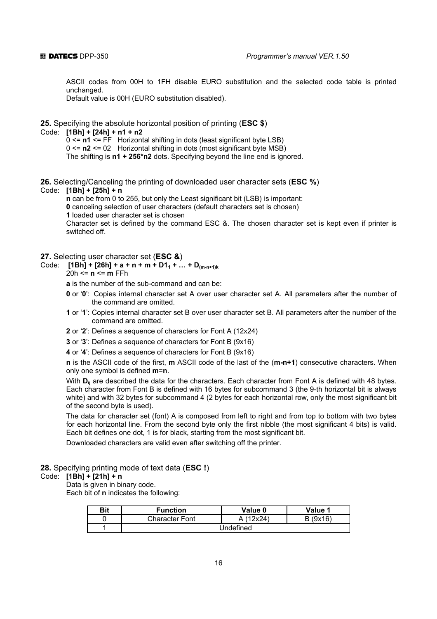ASCII codes from 00H to 1FH disable EURO substitution and the selected code table is printed unchanged.

Default value is 00H (EURO substitution disabled).

#### **25.** Specifying the absolute horizontal position of printing (**ESC \$**)

#### Code: **[1Bh] + [24h] + n1 + n2**

0 <= **n1** <= FF Horizontal shifting in dots (least significant byte LSB)

0 <= **n2** <= 02 Horizontal shifting in dots (most significant byte MSB)

The shifting is **n1 + 256\*n2** dots. Specifying beyond the line end is ignored.

**26.** Selecting/Canceling the printing of downloaded user character sets (**ESC %**)

#### Code: **[1Bh] + [25h] + n**

**n** can be from 0 to 255, but only the Least significant bit (LSB) is important:

 **0** canceling selection of user characters (default characters set is chosen)

 **1** loaded user character set is chosen

 Character set is defined by the command ESC &. The chosen character set is kept even if printer is switched off.

#### **27.** Selecting user character set (**ESC &**)

Code:  $[1Bh] + [26h] + a + n + m + D1_1 + ... + D_{(m-n+1)k}$ 20h <= **n** <= **m** FFh

 **a** is the number of the sub-command and can be:

- **0** or '**0**': Copies internal character set A over user character set A. All parameters after the number of the command are omitted.
- **1** or '**1**': Copies internal character set B over user character set B. All parameters after the number of the command are omitted.
- **2** or '**2**': Defines a sequence of characters for Font A (12x24)
- **3** or '**3**': Defines a sequence of characters for Font B (9x16)
- **4** or '**4**': Defines a sequence of characters for Font B (9x16)

 **n** is the ASCII code of the first, **m** ASCII code of the last of the (**m-n+1**) consecutive characters. When only one symbol is defined **m**=**n**.

With **D**<sub>ii</sub> are described the data for the characters. Each character from Font A is defined with 48 bytes. Each character from Font B is defined with 16 bytes for subcommand 3 (the 9-th horizontal bit is always white) and with 32 bytes for subcommand 4 (2 bytes for each horizontal row, only the most significant bit of the second byte is used).

 The data for character set (font) A is composed from left to right and from top to bottom with two bytes for each horizontal line. From the second byte only the first nibble (the most significant 4 bits) is valid. Each bit defines one dot, 1 is for black, starting from the most significant bit.

Downloaded characters are valid even after switching off the printer.

**28.** Specifying printing mode of text data (**ESC !**)

#### Code: **[1Вh] + [21h] + n**

Data is given in binary code.

Each bit of **n** indicates the following:

| <b>Bit</b> | <b>Function</b>       | Value 0   | Value 1 |
|------------|-----------------------|-----------|---------|
|            | <b>Character Font</b> | (12x24)   | B(9x16) |
|            |                       | Undefined |         |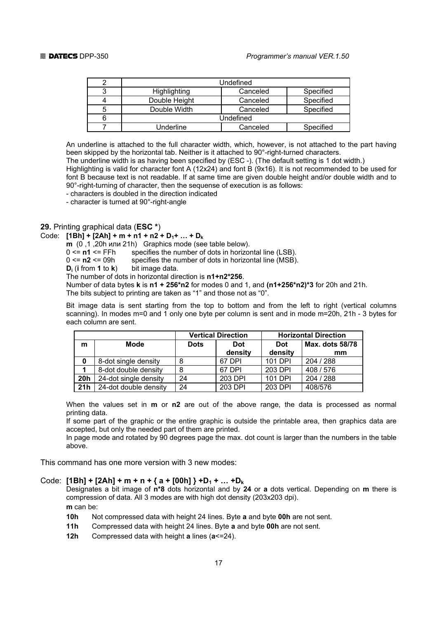|   |               | Undefined |           |
|---|---------------|-----------|-----------|
| ◠ | Highlighting  | Canceled  | Specified |
|   | Double Height | Canceled  | Specified |
| 5 | Double Width  | Canceled  | Specified |
| 6 |               | Undefined |           |
|   | Underline     | Canceled  | Specified |

 An underline is attached to the full character width, which, however, is not attached to the part having been skipped by the horizontal tab. Neither is it attached to 90°-right-turned characters.

The underline width is as having been specified by (ESC -). (The default setting is 1 dot width.)

 Highlighting is valid for character font A (12x24) and font B (9x16). It is not recommended to be used for font B because text is not readable. If at same time are given double height and/or double width and to 90°-right-turning of character, then the sequense of execution is as follows:

- characters is doubled in the direction indicated

- character is turned at 90°-right-angle

#### **29.** Printing graphical data (**ESC \***)

### Code:  $[1Bh] + [2Ah] + m + n1 + n2 + D<sub>1</sub> + ... + D<sub>k</sub>$

**m** (0,1,20h или 21h) Graphics mode (see table below).

0 <= **n1** <= FFh specifies the number of dots in horizontal line (LSB).

0 <= **n2** <= 09h specifies the number of dots in horizontal line (MSB).

 **Di** (**i** from **1** to **k**) bit image data.

The number of dots in horizontal direction is **n1+n2\*256**.

 Number of data bytes **k** is **n1 + 256\*n2** for modes 0 and 1, and **(n1+256\*n2)\*3** for 20h and 21h. The bits subject to printing are taken as "1" and those not as "0".

 Bit image data is sent starting from the top to bottom and from the left to right (vertical columns scanning). In modes m=0 and 1 only one byte per column is sent and in mode m=20h, 21h - 3 bytes for each column are sent.

|            |                       |             | <b>Vertical Direction</b> | <b>Horizontal Direction</b> |                 |  |
|------------|-----------------------|-------------|---------------------------|-----------------------------|-----------------|--|
| m          | Mode                  | <b>Dots</b> | <b>Dot</b>                | <b>Dot</b>                  | Max. dots 58/78 |  |
|            |                       |             | density                   | density                     | mm              |  |
| 0          | 8-dot single density  |             | 67 DPI                    | 101 DPI                     | 204 / 288       |  |
|            | 8-dot double density  | 8           | 67 DPI                    | 203 DPI                     | 408 / 576       |  |
| <b>20h</b> | 24-dot single density | 24          | 203 DPI                   | 101 DPI                     | 204 / 288       |  |
| 21h        | 24-dot double density | 24          | 203 DPI                   | 203 DPI                     | 408/576         |  |

 When the values set in **m** or **n2** are out of the above range, the data is processed as normal printing data.

 If some part of the graphic or the entire graphic is outside the printable area, then graphics data are accepted, but only the needed part of them are printed.

 In page mode and rotated by 90 degrees page the max. dot count is larger than the numbers in the table above.

This command has one more version with 3 new modes:

#### Code:  $[1Bh] + [2Ah] + m + n + {a + [00h]} + D_1 + ... + D_k$

 Designates a bit image of **n\*8** dots horizontal and by **24** or **a** dots vertical. Depending on **m** there is compression of data. All 3 modes are with high dot density (203x203 dpi).  **m** can be:

**10h** Not compressed data with height 24 lines. Byte **a** and byte **00h** are not sent.

- **11h** Compressed data with height 24 lines. Byte **a** and byte **00h** are not sent.
- **12h** Compressed data with height **a** lines (**a**<=24).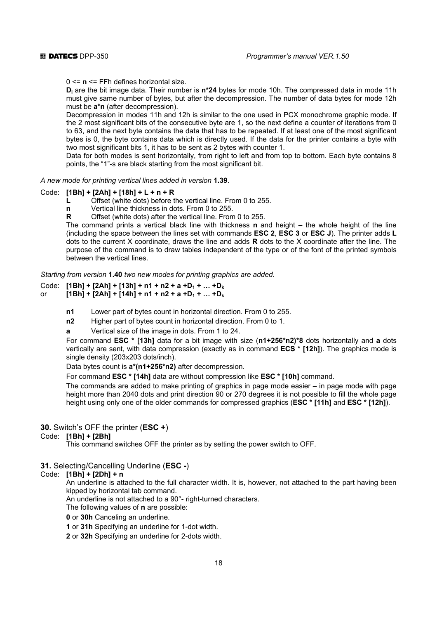0 <= **n** <= FFh defines horizontal size.

 **Di** are the bit image data. Their number is **n\*24** bytes for mode 10h. The compressed data in mode 11h must give same number of bytes, but after the decompression. The number of data bytes for mode 12h must be **a\*n** (after decompression).

 Decompression in modes 11h and 12h is similar to the one used in PCX monochrome graphic mode. If the 2 most significant bits of the consecutive byte are 1, so the next define a counter of iterations from 0 to 63, and the next byte contains the data that has to be repeated. If at least one of the most significant bytes is 0, the byte contains data which is directly used. If the data for the printer contains a byte with two most significant bits 1, it has to be sent as 2 bytes with counter 1.

 Data for both modes is sent horizontally, from right to left and from top to bottom. Each byte contains 8 points, the "1"-s are black starting from the most significant bit.

*A new mode for printing vertical lines added in version* **1.39**.

#### Code: **[1Bh] + [2Ah] + [18h] + L + n + R**

 **L** Offset (white dots) before the vertical line. From 0 to 255.

- **n** Vertical line thickness in dots. From 0 to 255.
- **R** Offset (white dots) after the vertical line. From 0 to 255.

 The command prints a vertical black line with thickness **n** and height – the whole height of the line (including the space between the lines set with commands **ESC 2**, **ESC 3** or **ESC J**). The printer adds **L** dots to the current X coordinate, draws the line and adds **R** dots to the X coordinate after the line. The purpose of the command is to draw tables independent of the type or of the font of the printed symbols between the vertical lines.

*Starting from version* **1.40** *two new modes for printing graphics are added.*

- Code: **[1Bh] + [2Ah] + [13h] + n1 + n2 + a +D<sub>1</sub> + ... +D<sub>k</sub>**
- or  $[1Bh] + [2Ah] + [14h] + n1 + n2 + a + D_1 + ... + D_k$ 
	- **n1** Lower part of bytes count in horizontal direction. From 0 to 255.
	- **n2** Higher part of bytes count in horizontal direction. From 0 to 1.
	- **a** Vertical size of the image in dots. From 1 to 24.

 For command **ESC \* [13h]** data for a bit image with size (**n1+256\*n2)\*8** dots horizontally and **a** dots vertically are sent, with data compression (exactly as in command **ECS \* [12h]**). The graphics mode is single density (203x203 dots/inch).

Data bytes count is **a\*(n1+256\*n2)** after decompression.

For command **ESC \* [14h]** data are without compression like **ESC \* [10h]** command.

 The commands are added to make printing of graphics in page mode easier – in page mode with page height more than 2040 dots and print direction 90 or 270 degrees it is not possible to fill the whole page height using only one of the older commands for compressed graphics (**ESC \* [11h]** and **ESC \* [12h]**).

#### **30.** Switch's OFF the printer (**ESC +**)

#### Code: **[1Вh] + [2Bh]**

This command switches OFF the printer as by setting the power switch to OFF.

#### **31.** Selecting/Cancelling Underline (**ESC -**)

#### Code: **[1Bh] + [2Dh] + n**

 An underline is attached to the full character width. It is, however, not attached to the part having been kipped by horizontal tab command.

An underline is not attached to a 90°- right-turned characters.

The following values of **n** are possible:

 **0** or **30h** Canceling an underline.

 **1** or **31h** Specifying an underline for 1-dot width.

 **2** or **32h** Specifying an underline for 2-dots width.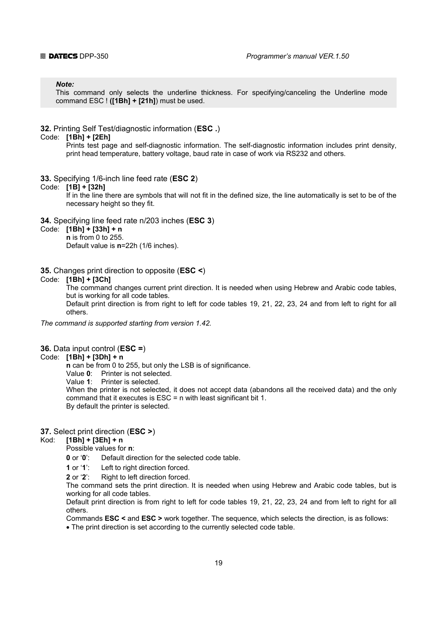#### *Note:*

This command only selects the underline thickness. For specifying/canceling the Underline mode command ESC ! **([1Bh] + [21h]**) must be used.

#### **32.** Printing Self Test/diagnostic information (**ESC .**)

### Code: **[1Вh] + [2Еh]**

 Prints test page and self-diagnostic information. The self-diagnostic information includes print density, print head temperature, battery voltage, baud rate in case of work via RS232 and others.

- **33.** Specifying 1/6-inch line feed rate (**ESC 2**)
- Code: **[1B] + [32h]**

 If in the line there are symbols that will not fit in the defined size, the line automatically is set to be of the necessary height so they fit.

#### **34.** Specifying line feed rate n/203 inches (**ESC 3**)

- Code: **[1Bh] + [33h] + n**
	- **n** is from 0 to 255.

Default value is **n**=22h (1/6 inches).

#### **35.** Changes print direction tо opposite (**ESC <**)

#### Code: **[1Bh] + [3Ch]**

 The command changes current print direction. It is needed when using Hebrew and Arabic code tables, but is working for all code tables.

 Default print direction is from right to left for code tables 19, 21, 22, 23, 24 and from left to right for all others.

*The command is supported starting from version 1.42.* 

#### **36.** Data input control (**ESC =**)

#### Code: **[1Bh] + [3Dh] + n**

 **n** can be from 0 to 255, but only the LSB is of significance.

Value **0**: Printer is not selected.

Value **1**: Printer is selected.

 When the printer is not selected, it does not accept data (abandons all the received data) and the only command that it executes is ESC = n with least significant bit 1. By default the printer is selected.

#### **37.** Select print direction (**ESC >**)

### Kod: **[1Bh] + [3Eh] + n**

Possible values for **n**:

 **0** or '**0**': Default direction for the selected code table.

 **1** or '**1**': Left to right direction forced.

**2** or '2': Right to left direction forced.

 The command sets the print direction. It is needed when using Hebrew and Arabic code tables, but is working for all code tables.

 Default print direction is from right to left for code tables 19, 21, 22, 23, 24 and from left to right for all others.

Commands **ESC <** and **ESC >** work together. The sequence, which selects the direction, is as follows:

• The print direction is set according to the currently selected code table.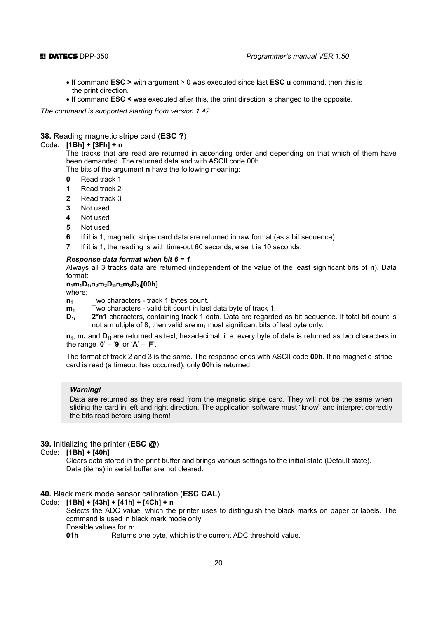- If command **ESC >** with argument > 0 was executed since last **ESC u** command, then this is the print direction.
- If command **ESC <** was executed after this, the print direction is changed to the opposite.

*The command is supported starting from version 1.42.* 

#### **38.** Reading magnetic stripe card (**ESC ?**)

#### Code: **[1Bh] + [3Fh] + n**

 The tracks that are read are returned in ascending order and depending on that which of them have been demanded. The returned data end with ASCII code 00h.

The bits of the argument **n** have the following meaning:

- **0** Read track 1
- **1** Read track 2
- **2** Read track 3
- **3** Not used
- **4** Not used
- **5** Not used
- **6** If it is 1, magnetic stripe card data are returned in raw format (as a bit sequence)
- **7** If it is 1, the reading is with time-out 60 seconds, else it is 10 seconds.

#### *Response data format when bit 6 = 1*

 Always all 3 tracks data are returned (independent of the value of the least significant bits of **n**). Data format:

#### **n1m1D1in2m2D2in3m3D3i[00h]**

where:

- **n<sub>1</sub>** Two characters track 1 bytes count.
- **m<sub>1</sub>** Two characters valid bit count in last data byte of track 1.
- **D<sub>1i</sub>** 2<sup>\*</sup>n1 characters, containing track 1 data. Data are regarded as bit sequence. If total bit count is not a multiple of 8, then valid are  $m_1$  most significant bits of last byte only.

 **n1**, **m1** and **D1i** are returned as text, hexadecimal, i. e. every byte of data is returned as two characters in the range '**0**' – '**9**' or '**A**' – '**F**'.

 The format of track 2 and 3 is the same. The response ends with ASCII code **00h**. If no magnetic stripe card is read (a timeout has occurred), only **00h** is returned.

#### *Warning!*

Data are returned as they are read from the magnetic stripe card. They will not be the same when sliding the card in left and right direction. The application software must "know" and interpret correctly the bits read before using them!

#### **39.** Initializing the printer (**ESC @**)

#### Code: **[1Bh] + [40h]**

 Clears data stored in the print buffer and brings various settings to the initial state (Default state). Data (items) in serial buffer are not cleared.

#### **40.** Black mark mode sensor calibration (**ESC CAL**)

#### Code: **[1Bh] + [43h] + [41h] + [4Ch] + n**

 Selects the ADC value, which the printer uses to distinguish the black marks on paper or labels. The command is used in black mark mode only.

Possible values for **n**:

**01h** Returns one byte, which is the current ADC threshold value.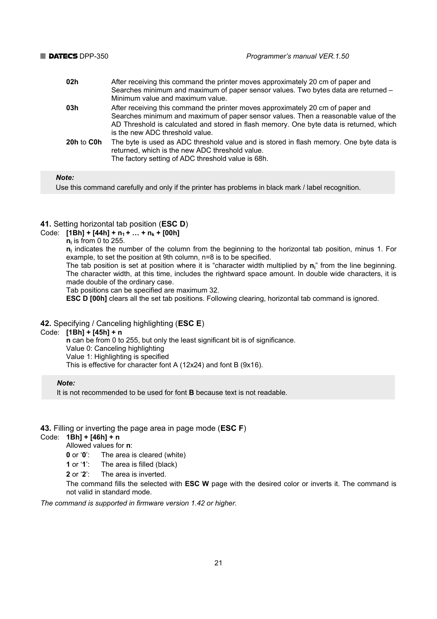- **02h** After receiving this command the printer moves approximately 20 cm of paper and Searches minimum and maximum of paper sensor values. Two bytes data are returned – Minimum value and maximum value. **03h** After receiving this command the printer moves approximately 20 cm of paper and
- Searches minimum and maximum of paper sensor values. Then a reasonable value of the AD Threshold is calculated and stored in flash memory. One byte data is returned, which is the new ADC threshold value.
- **20h** to **C0h** The byte is used as ADC threshold value and is stored in flash memory. One byte data is returned, which is the new ADC threshold value. The factory setting of ADC threshold value is 68h.

#### *Note:*

Use this command carefully and only if the printer has problems in black mark / label recognition.

#### **41.** Setting horizontal tab position (**ESC D**)

#### Code:  $[1Bh] + [44h] + n_1 + ... + n_k + [00h]$

**n**<sub>i</sub> is from 0 to 255.

 **ni** indicates the number of the column from the beginning to the horizontal tab position, minus 1. For example, to set the position at 9th column, n=8 is to be specified.

The tab position is set at position where it is "character width multiplied by  $n_i$ " from the line beginning. The character width, at this time, includes the rightward space amount. In double wide characters, it is made double of the ordinary case.

Tab positions can be specified are maximum 32.

**ESC D [00h]** clears all the set tab positions. Following clearing, horizontal tab command is ignored.

#### **42.** Specifying / Canceling highlighting (**ESC Е**)

#### Code: **[1Bh] + [45h] + n**

 **n** can be from 0 to 255, but only the least significant bit is of significance.

Value 0: Canceling highlighting

Value 1: Highlighting is specified

This is effective for character font A (12x24) and font B (9x16).

#### *Note:*

It is not recommended to be used for font **B** because text is not readable.

#### **43.** Filling or inverting the page area in page mode (**ESC F**)

Code: **1Bh] + [46h] + n**

Allowed values for **n**:

 **0** or '**0**': The area is cleared (white)

 **1** or '**1**': The area is filled (black)

 **2** or '**2**': The area is inverted.

 The command fills the selected with **ESC W** page with the desired color or inverts it. The command is not valid in standard mode.

*The command is supported in firmware version 1.42 or higher.*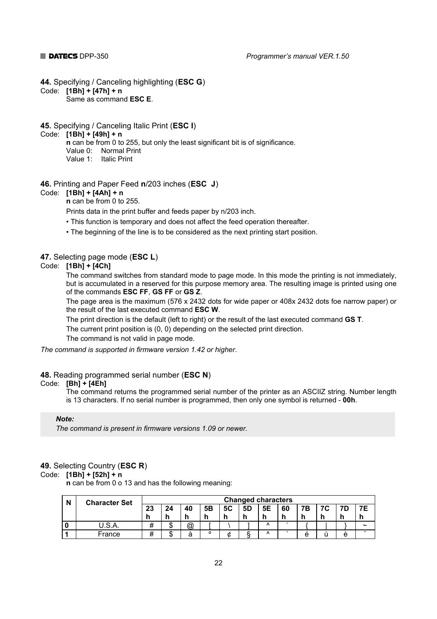**44.** Specifying / Canceling highlighting (**ESC G**)

Code: **[1Bh] + [47h] + n** 

Same as command **ESC E**.

**45.** Specifying / Canceling Italic Print (**ESC I**)

#### Code: **[1Bh] + [49h] + n**

 **n** can be from 0 to 255, but only the least significant bit is of significance. Value 0: Normal Print

Value 1: Italic Print

#### **46.** Printing and Paper Feed **n**/203 inches (**ESC J**)

#### Code: **[1Bh] + [4Аh] + n**

 **n** can be from 0 to 255.

Prints data in the print buffer and feeds paper by n/203 inch.

- This function is temporary and does not affect the feed operation thereafter.
- The beginning of the line is to be considered as the next printing start position.

#### **47.** Selecting page mode (**ESC L**)

#### Code: **[1Bh] + [4Ch]**

 The command switches from standard mode to page mode. In this mode the printing is not immediately, but is accumulated in a reserved for this purpose memory area. The resulting image is printed using one of the commands **ESC FF**, **GS FF** or **GS Z**.

 The page area is the maximum (576 x 2432 dots for wide paper or 408x 2432 dots foe narrow paper) or the result of the last executed command **ESC W**.

The print direction is the default (left to right) or the result of the last executed command **GS T**.

The current print position is (0, 0) depending on the selected print direction.

The command is not valid in page mode.

*The command is supported in firmware version 1.42 or higher*.

#### **48.** Reading programmed serial number (**ESC N**)

#### Code: **[Bh] + [4Eh]**

 The command returns the programmed serial number of the printer as an ASCIIZ string. Number length is 13 characters. If no serial number is programmed, then only one symbol is returned - **00h**.

#### *Note:*

*The command is present in firmware versions 1.09 or newer.* 

#### **49.** Selecting Country (**ESC R**)

Code: **[1Bh] + [52h] + n** 

 **n** can be from 0 o 13 and has the following meaning:

| N | <b>Character Set</b> |    |        |    |    |    |    | <b>Changed characters</b> |    |    |             |   |                       |
|---|----------------------|----|--------|----|----|----|----|---------------------------|----|----|-------------|---|-----------------------|
|   |                      | 23 | 24     | 40 | 5Β | 5C | 5D | 5E                        | 60 | 7В | $7^{\circ}$ |   | 7Ε                    |
|   |                      |    |        |    | h  |    |    |                           |    |    |             |   |                       |
|   | U.S.A.               |    | œ<br>Œ | @  |    |    |    | Λ                         |    |    |             |   | $\tilde{\phantom{a}}$ |
|   | France               |    | œ<br>J | а  |    | С. |    | Λ                         |    | e  |             | e |                       |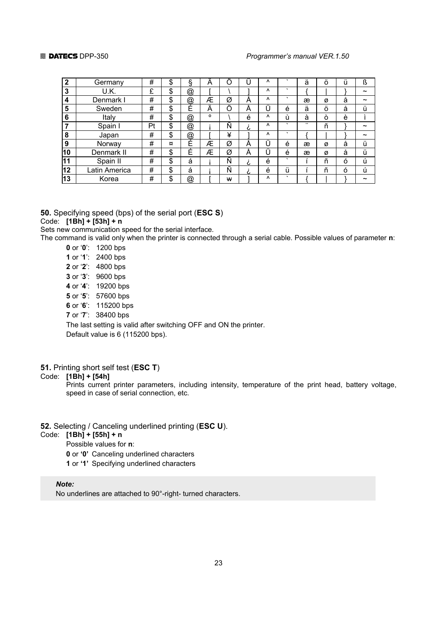#### **<u>■ DATECS** DPP-350 *Programmer's manual VER.1.50*</u>

| າ  | Germany       | #  | \$ | §                    | A       | Ο     |   | Λ         |         | ä                    | Ö | ü | ß                     |
|----|---------------|----|----|----------------------|---------|-------|---|-----------|---------|----------------------|---|---|-----------------------|
| 3  | U.K.          | £  | \$ | @                    |         |       |   | Λ         | $\cdot$ |                      |   |   | $\tilde{\phantom{a}}$ |
| 4  | Denmark I     | #  | \$ | $^{\textregistered}$ | Æ       | Ø     | A | $\Lambda$ | $\cdot$ | æ                    | ø | å | $\tilde{\phantom{a}}$ |
| 5  | Sweden        | #  | \$ | ,<br>Ė               | Ä       | <br>Ő | A |           | é       | ä                    | Ö | å | ü                     |
| 6  | Italy         | #  | \$ | @                    | $\circ$ |       | é | $\Lambda$ | ù       | à                    | ò | è |                       |
|    | Spain I       | Pt | \$ | @                    |         | Ñ     | c | Λ         | $\cdot$ | $\ddot{\phantom{0}}$ | ñ |   | $\tilde{\phantom{a}}$ |
| 8  | Japan         | #  | \$ | @                    |         | ¥     |   | $\lambda$ | $\cdot$ |                      |   |   | $\tilde{\phantom{a}}$ |
| 9  | Norway        | #  | ¤  | É                    | Æ       | Ø     | A | <br>Ū     | é       | æ                    | Ø | å | ü                     |
| 10 | Denmark II    | #  | \$ | Ė                    | Æ       | Ø     | A | <br>Ū     | é       | æ                    | ø | å | ü                     |
| 11 | Spain II      | #  | \$ | á                    |         | Ñ     | c | é         | $\cdot$ |                      | ñ | ó | ú                     |
| 12 | Latin America | #  | \$ | á                    |         | Ñ     | c | ,<br>ė    | ü       |                      | ñ | Ò | ú                     |
| 13 | Korea         | #  | \$ | @                    |         | w     |   | $\lambda$ | $\cdot$ |                      |   |   | ~                     |

**50.** Specifying speed (bps) of the serial port (**ESC S**)

#### Code: **[1Bh] + [53h] + n**

Sets new communication speed for the serial interface.

The command is valid only when the printer is connected through a serial cable. Possible values of parameter **n**:

- **0** or '**0**': 1200 bps  **1** or '**1**': 2400 bps  **2** or '**2**': 4800 bps  **3** or '**3**': 9600 bps  **4** or '**4**': 19200 bps  **5** or '**5**': 57600 bps
- **6** or '**6**': 115200 bps
- **7** or '**7**': 38400 bps

 The last setting is valid after switching OFF and ON the printer. Default value is 6 (115200 bps).

### **51.** Printing short self test (**ESC T**)

#### Code: **[1Bh] + [54h]**

 Prints current printer parameters, including intensity, temperature of the print head, battery voltage, speed in case of serial connection, etc.

#### **52.** Selecting / Canceling underlined printing (**ESC U**).

#### Code: **[1Bh] + [55h] + n**

Possible values for **n**:

- **0** or **'0'** Canceling underlined characters
- **1** or **'1'** Specifying underlined characters

#### *Note:*

No underlines are attached to 90°-right- turned characters.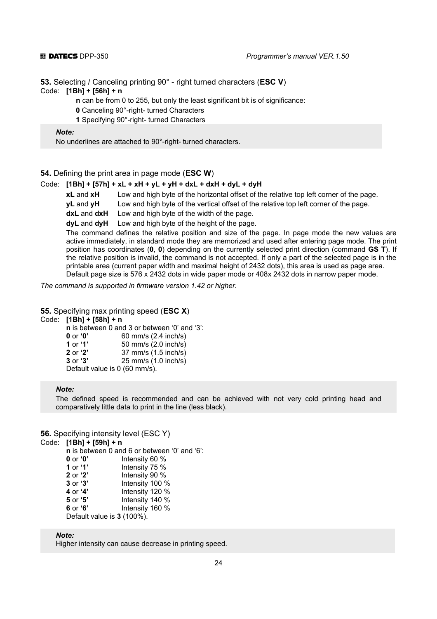**53.** Selecting / Canceling printing 90° - right turned characters (**ESC V**) Code: **[1Bh] + [56h] + n** 

- **n** can be from 0 to 255, but only the least significant bit is of significance:
	- **0** Canceling 90°-right- turned Characters
- **1** Specifying 90°-right- turned Characters

#### *Note:*

No underlines are attached to 90°-right- turned characters.

**54.** Defining the print area in page mode (**ESC W**)

#### Code: **[1Bh] + [57h] + xL + xH + yL + yH + dxL + dxH + dyL + dyH**

**xL** and **xH** Low and high byte of the horizontal offset of the relative top left corner of the page.

 **yL** and **yH** Low and high byte of the vertical offset of the relative top left corner of the page.

 **dxL** and **dxH** Low and high byte of the width of the page.

 **dyL** and **dyH** Low and high byte of the height of the page.

 The command defines the relative position and size of the page. In page mode the new values are active immediately, in standard mode they are memorized and used after entering page mode. The print position has coordinates (**0**, **0**) depending on the currently selected print direction (command **GS T**). If the relative position is invalid, the command is not accepted. If only a part of the selected page is in the printable area (current paper width and maximal height of 2432 dots), this area is used as page area. Default page size is 576 x 2432 dots in wide paper mode or 408x 2432 dots in narrow paper mode.

*The command is supported in firmware version 1.42 or higher.* 

#### **55.** Specifying max printing speed (**ESC X**)

Code: **[1Bh] + [58h] + n** 

 **n** is between 0 and 3 or between '0' and '3':

| 0 or $\mathbf{0}$ | 60 mm/s (2.4 inch/s) |
|-------------------|----------------------|
|-------------------|----------------------|

| <b>1</b> or <b>1</b> |  | 50 mm/s (2.0 inch/s) |
|----------------------|--|----------------------|
|----------------------|--|----------------------|

 **2** or **'2'** 37 mm/s (1.5 inch/s)

 **3** or **'3'** 25 mm/s (1.0 inch/s)

Default value is 0 (60 mm/s).

#### *Note:*

The defined speed is recommended and can be achieved with not very cold printing head and comparatively little data to print in the line (less black).

#### **56.** Specifying intensity level (ESC Y)

```
Code: [1Bh] + [59h] + n
```
 **n** is between 0 and 6 or between '0' and '6': or **'0'** Intensity 60 % or **'1'** Intensity 75 % or **'2'** Intensity 90 % or **'3'** Intensity 100 % or **'4'** Intensity 120 % or **'5'** Intensity 140 %<br>**6** or **'6'** Intensity 160 % or **'6'** Intensity 160 % Default value is **3** (100%).

*Note:* 

Higher intensity can cause decrease in printing speed.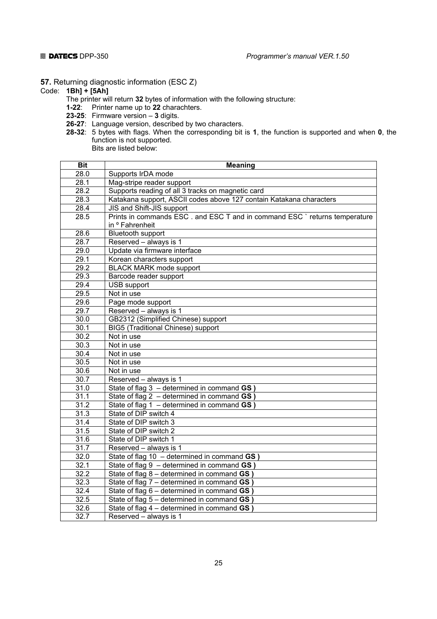**57.** Returning diagnostic information (ESC Z)

### Code: **1Bh] + [5Ah]**

- The printer will return **32** bytes of information with the following structure:
- **1-22**: Printer name up to **22** charachters.
- **23-25**: Firmware version **3** digits.
- **26-27**: Language version, described by two characters.
- **28-32**: 5 bytes with flags. When the corresponding bit is **1**, the function is supported and when **0**, the function is not supported. Bits are listed below:

| <b>Bit</b>        | <b>Meaning</b>                                                            |
|-------------------|---------------------------------------------------------------------------|
| 28.0              | Supports IrDA mode                                                        |
| 28.1              | Mag-stripe reader support                                                 |
| 28.2              | Supports reading of all 3 tracks on magnetic card                         |
| 28.3              | Katakana support, ASCII codes above 127 contain Katakana characters       |
| 28.4              | JIS and Shift-JIS support                                                 |
| 28.5              | Prints in commands ESC. and ESC T and in command ESC `returns temperature |
|                   | in <sup>o</sup> Fahrenheit                                                |
| 28.6              | <b>Bluetooth support</b>                                                  |
| 28.7              | Reserved - always is 1                                                    |
| 29.0              | Update via firmware interface                                             |
| 29.1              | Korean characters support                                                 |
| 29.2              | <b>BLACK MARK mode support</b>                                            |
| 29.3              | Barcode reader support                                                    |
| 29.4              | <b>USB</b> support                                                        |
| 29.5              | Not in use                                                                |
| 29.6              | Page mode support                                                         |
| 29.7              | Reserved - always is 1                                                    |
| 30.0              | GB2312 (Simplified Chinese) support                                       |
| $30.\overline{1}$ | BIG5 (Traditional Chinese) support                                        |
| $\overline{30.2}$ | Not in use                                                                |
| 30.3              | Not in use                                                                |
| 30.4              | Not in use                                                                |
| $\overline{30.5}$ | Not in use                                                                |
| 30.6              | Not in use                                                                |
| $\overline{30.7}$ | Reserved - always is 1                                                    |
| 31.0              | State of flag $3 -$ determined in command GS )                            |
| 31.1              | State of flag 2 - determined in command GS )                              |
| $\overline{31.2}$ | State of flag $1$ – determined in command GS ]                            |
| 31.3              | State of DIP switch 4                                                     |
| 31.4              | State of DIP switch 3                                                     |
| $\overline{31.5}$ | State of DIP switch 2                                                     |
| 31.6              | State of DIP switch 1                                                     |
| 31.7              | Reserved - always is 1                                                    |
| 32.0              | State of flag 10 - determined in command GS)                              |
| 32.1              | State of flag $9 -$ determined in command $GS$ )                          |
| 32.2              | State of flag 8 - determined in command GS                                |
| 32.3              | State of flag 7 - determined in command GS                                |
| 32.4              | State of flag 6 - determined in command GS ]                              |
| 32.5              | State of flag 5 - determined in command GS                                |
| 32.6              | State of flag 4 - determined in command GS)                               |
| 32.7              | Reserved - always is 1                                                    |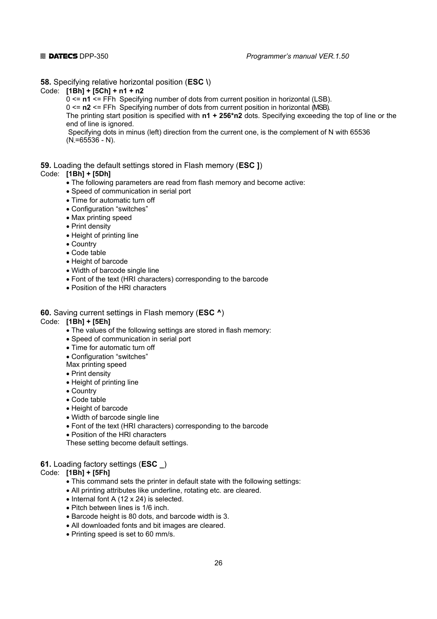**58.** Specifying relative horizontal position (**ESC \**)

#### Code: **[1Bh] + [5Сh] + n1 + n2**

0 <= **n1** <= FFh Specifying number of dots from current position in horizontal (LSB).

0 <= **n2** <= FFh Specifying number of dots from current position in horizontal (MSB).

 The printing start position is specified with **n1 + 256\*n2** dots. Specifying exceeding the top of line or the end of line is ignored.

 Specifying dots in minus (left) direction from the current one, is the complement of N with 65536  $(N=65536 - N)$ .

#### **59.** Loading the default settings stored in Flash memory (**ESC ]**)

#### Code: **[1Bh] + [5Dh]**

- The following parameters are read from flash memory and become active:
- Speed of communication in serial port
- Time for automatic turn off
- Configuration "switches"
- Max printing speed
- Print density
- Height of printing line
- Country
- Code table
- Height of barcode
- Width of barcode single line
- Font of the text (HRI characters) corresponding to the barcode
- Position of the HRI characters

#### **60.** Saving current settings in Flash memory (**ESC ^**)

#### Code: **[1Bh] + [5Eh]**

- The values of the following settings are stored in flash memory:
- Speed of communication in serial port
- Time for automatic turn off
- Configuration "switches"
- Max printing speed
- Print density
- Height of printing line
- Country
- Code table
- Height of barcode
- Width of barcode single line
- Font of the text (HRI characters) corresponding to the barcode
- Position of the HRI characters

These setting become default settings.

#### **61.** Loading factory settings (**ESC \_**)

### Code: **[1Bh] + [5Fh]**

- This command sets the printer in default state with the following settings:
- All printing attributes like underline, rotating etc. are cleared.
- Internal font A (12 x 24) is selected.
- Pitch between lines is 1/6 inch.
- Barcode height is 80 dots, and barcode width is 3.
- All downloaded fonts and bit images are cleared.
- Printing speed is set to 60 mm/s.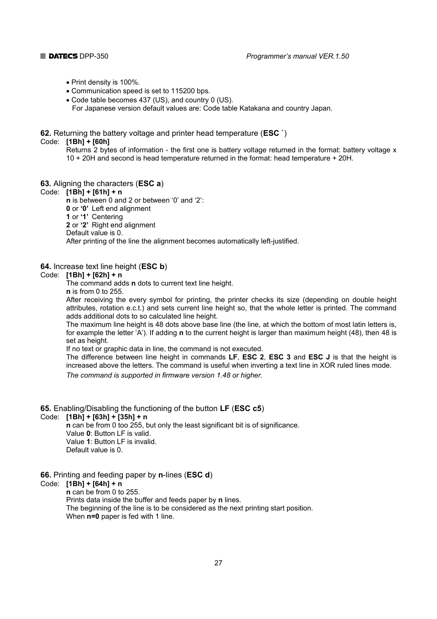- Print density is 100%.
- Communication speed is set to 115200 bps.
- Code table becomes 437 (US), and country 0 (US).

For Japanese version default values are: Code table Katakana and country Japan.

#### **62.** Returning the battery voltage and printer head temperature (**ESC `**)

#### Code: **[1Bh] + [60h]**

 Returns 2 bytes of information - the first one is battery voltage returned in the format: battery voltage x 10 + 20H and second is head temperature returned in the format: head temperature + 20H.

**63.** Aligning the characters (**ESC a**)

### Code: **[1Bh] + [61h] + n**

 **n** is between 0 and 2 or between '0' and '2':  **0** or **'0'** Left end alignment  **1** or **'1'** Centering  **2** or **'2'** Right end alignment Default value is 0. After printing of the line the alignment becomes automatically left-justified.

#### **64.** Increase text line height (**ESC b**)

### Code: **[1Bh] + [62h] + n**

The command adds **n** dots to current text line height.

 **n** is from 0 to 255.

 After receiving the every symbol for printing, the printer checks its size (depending on double height attributes, rotation e.c.t.) and sets current line height so, that the whole letter is printed. The command adds additional dots to so calculated line height.

 The maximum line height is 48 dots above base line (the line, at which the bottom of most latin letters is, for example the letter 'A'). If adding **n** to the current height is larger than maximum height (48), then 48 is set as height.

If no text or graphic data in line, the command is not executed.

 The difference between line height in commands **LF**, **ESC 2**, **ESC 3** and **ESC J** is that the height is increased above the letters. The command is useful when inverting a text line in XOR ruled lines mode. *The command is supported in firmware version 1.48 or higher.* 

#### **65.** Enabling/Disabling the functioning of the button **LF** (**ESC c5**)

#### Code: **[1Bh] + [63h] + [35h] + n**

**n** can be from 0 too 255, but only the least significant bit is of significance. Value **0**: Button LF is valid. Value **1**: Button LF is invalid. Default value is 0.

#### **66.** Printing and feeding paper by **n**-lines (**ESC d**)

#### Code: **[1Bh] + [64h] + n**

 **n** can be from 0 to 255.

Prints data inside the buffer and feeds paper by **n** lines.

 The beginning of the line is to be considered as the next printing start position. When **n=0** paper is fed with 1 line.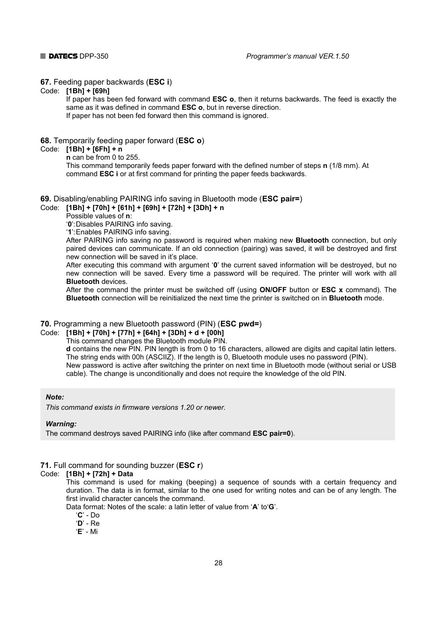#### **67.** Feeding paper backwards (**ESC i**)

#### Code: **[1Bh] + [69h]**

 If paper has been fed forward with command **ESC o**, then it returns backwards. The feed is exactly the same as it was defined in command **ESC o**, but in reverse direction. If paper has not been fed forward then this command is ignored.

**68.** Temporarily feeding paper forward (**ESC o**)

#### Code: **[1Bh] + [6Fh] + n**

 **n** can be from 0 to 255.

 This command temporarily feeds paper forward with the defined number of steps **n** (1/8 mm). At command **ESC i** or at first command for printing the paper feeds backwards.

### **69.** Disabling/enabling PAIRING info saving in Bluetooth mode (**ESC pair=**)

Code: **[1Bh] + [70h] + [61h] + [69h] + [72h] + [3Dh] + n** 

Possible values of **n**:

'**0**': Disables PAIRING info saving.

'**1**': Enables PAIRING info saving.

 After PAIRING info saving no password is required when making new **Bluetooth** connection, but only paired devices can communicate. If an old connection (pairing) was saved, it will be destroyed and first new connection will be saved in it's place.

 After executing this command with argument '**0**' the current saved information will be destroyed, but no new connection will be saved. Every time a password will be required. The printer will work with all **Bluetooth** devices.

 After the command the printer must be switched off (using **ON/OFF** button or **ESC x** command). The **Bluetooth** connection will be reinitialized the next time the printer is switched on in **Bluetooth** mode.

#### **70.** Programming a new Bluetooth password (PIN) (**ESC pwd=**)

Code: **[1Bh] + [70h] + [77h] + [64h] + [3Dh] + d + [00h]** 

This command changes the Bluetooth module PIN.

 **d** contains the new PIN. PIN length is from 0 to 16 characters, allowed are digits and capital latin letters. The string ends with 00h (ASCIIZ). If the length is 0, Bluetooth module uses no password (PIN).

 New password is active after switching the printer on next time in Bluetooth mode (without serial or USB cable). The change is unconditionally and does not require the knowledge of the old PIN.

#### *Note:*

*This command exists in firmware versions 1.20 or newer.* 

#### *Warning:*

The command destroys saved PAIRING info (like after command **ESC pair=0**).

### **71.** Full command for sounding buzzer (**ESC r**)

#### Code: **[1Bh] + [72h] + Data**

 This command is used for making (beeping) a sequence of sounds with a certain frequency and duration. The data is in format, similar to the one used for writing notes and can be of any length. The first invalid character cancels the command.

Data format: Notes of the scale: a latin letter of value from '**A**' to'**G**'.

'**C**' - Do

'**D**' - Re

'**E**' - Mi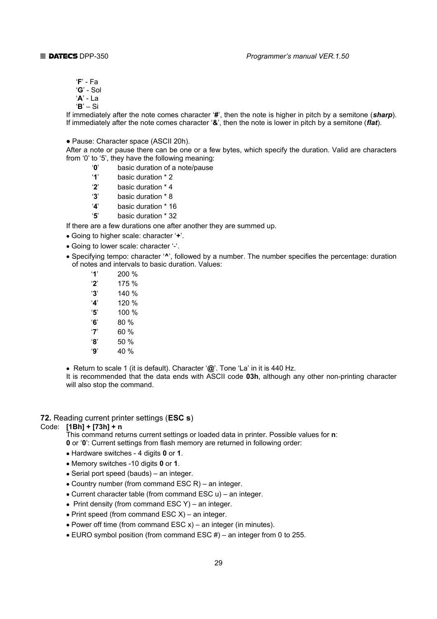- '**F**' Fa
- '**G**' Sol
- '**A**' La
- '**B**' Si

 If immediately after the note comes character '**#**', then the note is higher in pitch by a semitone (*sharp*). If immediately after the note comes character '**&**', then the note is lower in pitch by a semitone (*flat*).

• Pause: Character space (ASCII 20h).

 After a note or pause there can be one or a few bytes, which specify the duration. Valid are characters from '0' to '5', they have the following meaning:

- '**0**' basic duration of a note/pause
- '**1**' basic duration \* 2
- '**2**' basic duration \* 4
- '**3**' basic duration \* 8
- '**4**' basic duration \* 16
- '**5**' basic duration \* 32

If there are a few durations one after another they are summed up.

- Going to higher scale: character '**+**'.
- Going to lower scale: character '-'.
- Specifying tempo: character '**^**', followed by a number. The number specifies the percentage: duration of notes and intervals to basic duration. Values:

| '1'                   | 200 % |
|-----------------------|-------|
| $^{\prime}2^{\prime}$ | 175 % |
| '3'                   | 140 % |
| 'Δ'                   | 120 % |
| '5'                   | 100 % |
| Έ,                    | 80%   |
| '7'                   | 60%   |
| '8'                   | 50 %  |
| '9'                   | 40 %  |
|                       |       |

• Return to scale 1 (it is default). Character '**@**'. Tone 'La' in it is 440 Hz.

 It is recommended that the data ends with ASCII code **03h**, although any other non-printing character will also stop the command.

**72.** Reading current printer settings (**ESC s**)

#### Code: **[1Bh] + [73h] + n**

This command returns current settings or loaded data in printer. Possible values for **n**:

- **0** or '**0**': Current settings from flash memory are returned in following order:
- Hardware switches 4 digits **0** or **1**.
- Memory switches -10 digits **0** or **1**.
- Serial port speed (bauds) an integer.
- Country number (from command ESC R) an integer.
- Current character table (from command ESC u) an integer.
- Print density (from command ESC Y) an integer.
- Print speed (from command ESC X) an integer.
- Power off time (from command ESC  $x$ ) an integer (in minutes).
- EURO symbol position (from command ESC #) an integer from 0 to 255.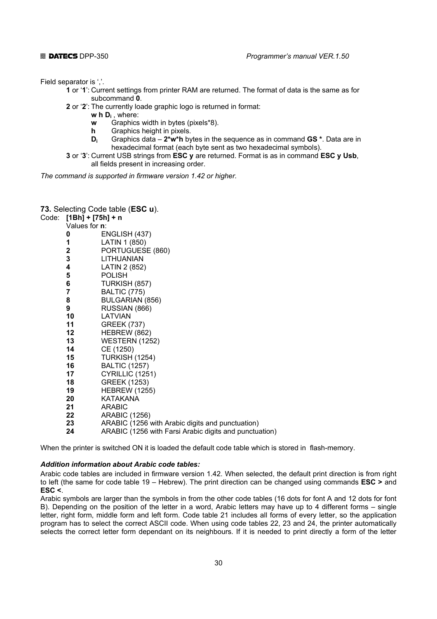Field separator is ','.

- **1** or '**1**': Current settings from printer RAM are returned. The format of data is the same as for subcommand **0**.
- **2** or '**2**': The currently loade graphic logo is returned in format:
	- **w h Di** , where:
	- **w** Graphics width in bytes (pixels\*8).
	- **h** Graphics height in pixels.
	- **Di** Graphics data **2\*w\*h** bytes in the sequence as in command **GS \***. Data are in hexadecimal format (each byte sent as two hexadecimal symbols).
- **3** or '**3**': Current USB strings from **ESC y** are returned. Format is as in command **ESC y Usb**, all fields present in increasing order.

*The command is supported in firmware version 1.42 or higher.* 

#### **73.** Selecting Code table (**ESC u**).

Code: **[1Bh] + [75h] + n** 

| Values for <b>n</b> : |                                                        |
|-----------------------|--------------------------------------------------------|
| 0                     | ENGLISH (437)                                          |
| 1                     | LATIN 1 (850)                                          |
| 2                     | PORTUGUESE (860)                                       |
| 3                     | <b>LITHUANIAN</b>                                      |
| 4                     | LATIN 2 (852)                                          |
| 5                     | <b>POLISH</b>                                          |
| 6                     | TURKISH (857)                                          |
| 7                     | <b>BALTIC (775)</b>                                    |
| 8                     | BULGARIAN (856)                                        |
| 9                     | RUSSIAN (866)                                          |
| 10                    | LATVIAN                                                |
| 11                    | <b>GREEK (737)</b>                                     |
| 12                    | HEBREW (862)                                           |
| 13                    | <b>WESTERN (1252)</b>                                  |
| 14                    | CE (1250)                                              |
| 15                    | <b>TURKISH (1254)</b>                                  |
| 16                    | <b>BALTIC (1257)</b>                                   |
| 17                    | CYRILLIC (1251)                                        |
| 18                    | <b>GREEK (1253)</b>                                    |
| 19                    | <b>HEBREW (1255)</b>                                   |
| 20                    | <b>KATAKANA</b>                                        |
| 21                    | <b>ARABIC</b>                                          |
| 22                    | <b>ARABIC (1256)</b>                                   |
| 23                    | ARABIC (1256 with Arabic digits and punctuation)       |
| 24                    | ARABIC (1256 with Farsi Arabic digits and punctuation) |
|                       |                                                        |

When the printer is switched ON it is loaded the default code table which is stored in flash-memory.

#### *Addition information about Arabic code tables:*

Arabic code tables are included in firmware version 1.42. When selected, the default print direction is from right to left (the same for code table 19 – Hebrew). The print direction can be changed using commands **ESC >** and **ESC <**.

Arabic symbols are larger than the symbols in from the other code tables (16 dots for font A and 12 dots for font B). Depending on the position of the letter in a word, Arabic letters may have up to 4 different forms – single letter, right form, middle form and left form. Code table 21 includes all forms of every letter, so the application program has to select the correct ASCII code. When using code tables 22, 23 and 24, the printer automatically selects the correct letter form dependant on its neighbours. If it is needed to print directly a form of the letter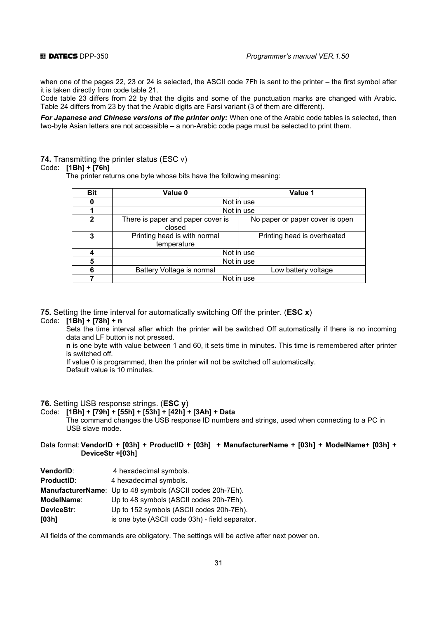when one of the pages 22, 23 or 24 is selected, the ASCII code 7Fh is sent to the printer – the first symbol after it is taken directly from code table 21.

Code table 23 differs from 22 by that the digits and some of the punctuation marks are changed with Arabic. Table 24 differs from 23 by that the Arabic digits are Farsi variant (3 of them are different).

*For Japanese and Chinese versions of the printer only:* When one of the Arabic code tables is selected, then two-byte Asian letters are not accessible – a non-Arabic code page must be selected to print them.

### **74.** Transmitting the printer status (ESC v)

#### Code: **[1Bh] + [76h]**

The printer returns one byte whose bits have the following meaning:

| <b>Bit</b>   | Value 0                                     | Value 1                         |  |  |  |  |
|--------------|---------------------------------------------|---------------------------------|--|--|--|--|
|              |                                             | Not in use                      |  |  |  |  |
|              |                                             | Not in use                      |  |  |  |  |
| $\mathbf{2}$ | There is paper and paper cover is<br>closed | No paper or paper cover is open |  |  |  |  |
| 3            | Printing head is with normal<br>temperature | Printing head is overheated     |  |  |  |  |
|              |                                             | Not in use                      |  |  |  |  |
| 5            |                                             | Not in use                      |  |  |  |  |
| หิ           | Battery Voltage is normal                   | Low battery voltage             |  |  |  |  |
|              |                                             | Not in use                      |  |  |  |  |

**75.** Setting the time interval for automatically switching Off the printer. (**ESC x**)

### Code: **[1Bh] + [78h] + n**

 Sets the time interval after which the printer will be switched Off automatically if there is no incoming data and LF button is not pressed.

 **n** is one byte with value between 1 and 60, it sets time in minutes. This time is remembered after printer is switched off.

If value 0 is programmed, then the printer will not be switched off automatically.

Default value is 10 minutes.

#### **76.** Setting USB response strings. (**ESC y**)

Code: **[1Bh] + [79h] + [55h] + [53h] + [42h] + [3Ah] + Data** 

 The command changes the USB response ID numbers and strings, used when connecting to a PC in USB slave mode.

#### Data format: **VendorID + [03h] + ProductID + [03h] + ManufacturerName + [03h] + ModelName+ [03h] + DeviceStr +[03h]**

| <b>VendorID:</b>  | 4 hexadecimal symbols.                                    |
|-------------------|-----------------------------------------------------------|
| <b>ProductID:</b> | 4 hexadecimal symbols.                                    |
|                   | ManufacturerName: Up to 48 symbols (ASCII codes 20h-7Eh). |
| ModelName:        | Up to 48 symbols (ASCII codes 20h-7Eh).                   |
| DeviceStr:        | Up to 152 symbols (ASCII codes 20h-7Eh).                  |
| [03h]             | is one byte (ASCII code 03h) - field separator.           |

All fields of the commands are obligatory. The settings will be active after next power on.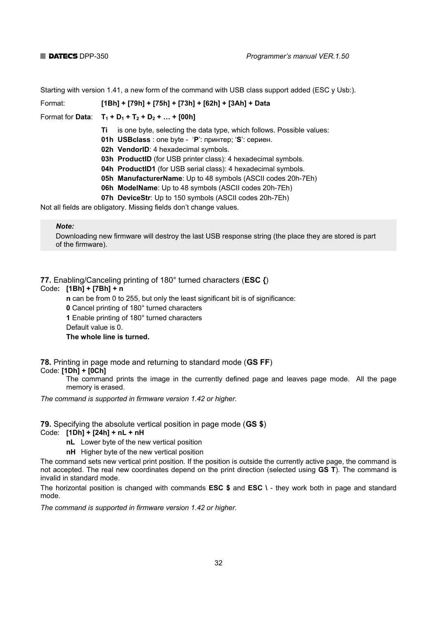Starting with version 1.41, a new form of the command with USB class support added (ESC y Usb:).

Format: **[1Bh] + [79h] + [75h] + [73h] + [62h] + [3Ah] + Data**

Format for **Data:**  $T_1 + D_1 + T_2 + D_2 + ... + [00h]$ 

- **Ti** is one byte, selecting the data type, which follows. Possible values:
- **01h USBclass** : one byte '**P**': принтер; '**S**': сериен.
- **02h VendorID**: 4 hexadecimal symbols.
- **03h ProductID** (for USB printer class): 4 hexadecimal symbols.
- **04h ProductID1** (for USB serial class): 4 hexadecimal symbols.
- **05h ManufacturerName**: Up to 48 symbols (ASCII codes 20h-7Eh)
- **06h ModelName**: Up to 48 symbols (ASCII codes 20h-7Eh)
- **07h DeviceStr**: Up to 150 symbols (ASCII codes 20h-7Eh)

Not all fields are obligatory. Missing fields don't change values.

#### *Note:*

Downloading new firmware will destroy the last USB response string (the place they are stored is part of the firmware).

### **77.** Enabling/Canceling printing of 180° turned characters (**ESC {**)

#### Code**: [1Bh] + [7Bh] + n**

**n** can be from 0 to 255, but only the least significant bit is of significance:

 **0** Cancel printing of 180° turned characters

 **1** Enable printing of 180° turned characters

Default value is 0.

#### **The whole line is turned.**

## **78.** Printing in page mode and returning to standard mode (**GS FF**)

Code: **[1Dh] + [0Ch]**

 The command prints the image in the currently defined page and leaves page mode. All the page memory is erased.

*The command is supported in firmware version 1.42 or higher.* 

#### **79.** Specifying the absolute vertical position in page mode (**GS \$**)

#### Code: **[1Dh] + [24h] + nL + nH**

 **nL** Lower byte of the new vertical position

**nH** Higher byte of the new vertical position

The command sets new vertical print position. If the position is outside the currently active page, the command is not accepted. The real new coordinates depend on the print direction (selected using **GS T**). The command is invalid in standard mode.

The horizontal position is changed with commands **ESC \$** and **ESC \** - they work both in page and standard mode.

*The command is supported in firmware version 1.42 or higher.*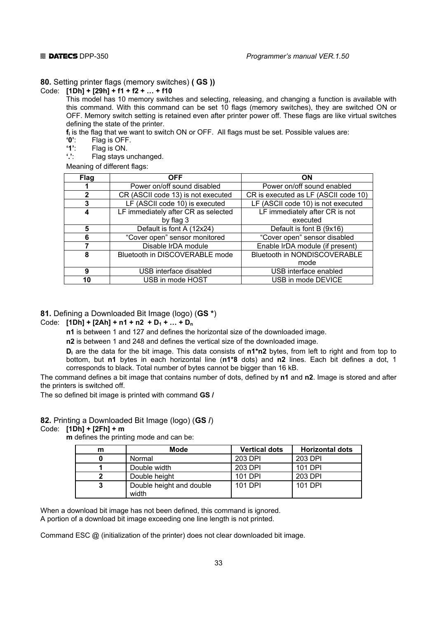#### **80.** Setting printer flags (memory switches) **( GS ))**

#### Code: **[1Dh] + [29h] + f1 + f2 + … + f10**

 This model has 10 memory switches and selecting, releasing, and changing a function is available with this command. With this command can be set 10 flags (memory switches), they are switched ON or OFF. Memory switch setting is retained even after printer power off. These flags are like virtual switches defining the state of the printer.

**f**<sub>i</sub> is the flag that we want to switch ON or OFF. All flags must be set. Possible values are:<br>'0': Flag is OFF.

 **'0'**: Flag is OFF.

**'1':** Flag is ON.<br>'.': Flag stays u

**Flag stays unchanged.** 

Meaning of different flags:

| <b>Flag</b> | <b>OFF</b>                          | <b>ON</b>                            |  |
|-------------|-------------------------------------|--------------------------------------|--|
|             | Power on/off sound disabled         | Power on/off sound enabled           |  |
| 2           | CR (ASCII code 13) is not executed  | CR is executed as LF (ASCII code 10) |  |
|             | LF (ASCII code 10) is executed      | LF (ASCII code 10) is not executed   |  |
|             | LF immediately after CR as selected | LF immediately after CR is not       |  |
|             | by flag 3                           | executed                             |  |
| 5           | Default is font A (12x24)           | Default is font B (9x16)             |  |
| 6           | "Cover open" sensor monitored       | "Cover open" sensor disabled         |  |
|             | Disable IrDA module                 | Enable IrDA module (if present)      |  |
| 8           | Bluetooth in DISCOVERABLE mode      | Bluetooth in NONDISCOVERABLE         |  |
|             |                                     | mode                                 |  |
| 9           | USB interface disabled              | USB interface enabled                |  |
| 10          | USB in mode HOST                    | USB in mode DEVICE                   |  |

#### **81.** Defining a Downloaded Bit Image (logo) (**GS \***)

#### Code:  $[1Dh] + [2Ah] + n1 + n2 + D_1 + ... + D_n$

 **n1** is between 1 and 127 and defines the horizontal size of the downloaded image.

 **n2** is between 1 and 248 and defines the vertical size of the downloaded image.

**D**<sub>i</sub> are the data for the bit image. This data consists of n<sup>+</sup>n2 bytes, from left to right and from top to bottom, but **n1** bytes in each horizontal line (**n1\*8** dots) and **n2** lines. Each bit defines a dot, 1 corresponds to black. Total number of bytes cannot be bigger than 16 kB.

The command defines a bit image that contains number of dots, defined by **n1** and **n2**. Image is stored and after the printers is switched off.

The so defined bit image is printed with command **GS /**

#### **82.** Printing a Downloaded Bit Image (logo) (**GS /**)

#### Code: **[1Dh] + [2Fh] + m**

 **m** defines the printing mode and can be:

| <b>Mode</b>              | <b>Vertical dots</b> | <b>Horizontal dots</b> |
|--------------------------|----------------------|------------------------|
| Normal                   | 203 DPI              | 203 DPI                |
| Double width             | 203 DPI              | 101 DPI                |
| Double height            | 101 DPI              | 203 DPI                |
| Double height and double | 101 DPI              | 101 DPI                |
|                          | width                |                        |

When a download bit image has not been defined, this command is ignored. A portion of a download bit image exceeding one line length is not printed.

Command ESC @ (initialization of the printer) does not clear downloaded bit image.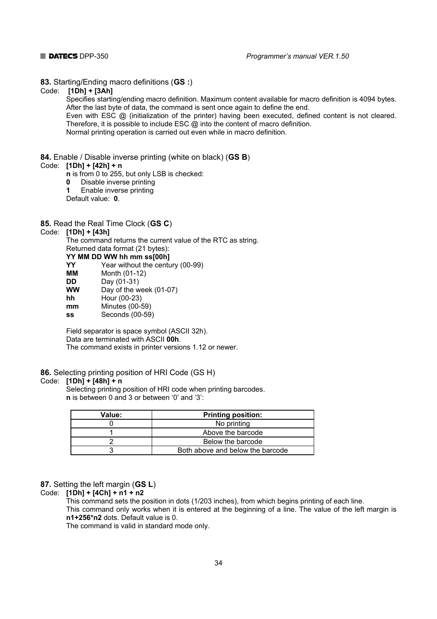**83.** Starting/Ending macro definitions (**GS :**)

Code: **[1Dh] + [3Ah]**

 Specifies starting/ending macro definition. Maximum content available for macro definition is 4094 bytes. After the last byte of data, the command is sent once again to define the end.

 Even with ESC @ (initialization of the printer) having been executed, defined content is not cleared. Therefore, it is possible to include ESC @ into the content of macro definition.

Normal printing operation is carried out even while in macro definition.

#### **84.** Enable / Disable inverse printing (white on black) (**GS B**)

#### Code: **[1Dh] + [42h] + n**

 **n** is from 0 to 255, but only LSB is checked:

- **0** Disable inverse printing
- **1** Enable inverse printing

Default value: **0**.

#### **85.** Read the Real Time Clock (**GS C**)

### Code: **[1Dh] + [43h]**

 The command returns the current value of the RTC as string. Returned data format (21 bytes):

#### **YY MM DD WW hh mm ss[00h]**

**YY** Year without the century (00-99)

- **MM** Month (01-12)
- **DD** Day (01-31)<br>WW Day of the w

Day of the week (01-07)

- **hh** Hour (00-23)
- **mm** Minutes (00-59)

 **ss** Seconds (00-59)

 Field separator is space symbol (ASCII 32h). Data are terminated with ASCII **00h**. The command exists in printer versions 1.12 or newer.

#### **86.** Selecting printing position of HRI Code (GS H)

#### Code: **[1Dh] + [48h] + n**

 Selecting printing position of HRI code when printing barcodes.  **n** is between 0 and 3 or between '0' and '3':

| Value: | <b>Printing position:</b>        |  |  |
|--------|----------------------------------|--|--|
|        | No printing                      |  |  |
|        | Above the barcode                |  |  |
|        | Below the barcode                |  |  |
|        | Both above and below the barcode |  |  |

#### **87.** Setting the left margin (**GS L**)

#### Code: **[1Dh] + [4Ch] + n1 + n2**

 This command sets the position in dots (1/203 inches), from which begins printing of each line. This command only works when it is entered at the beginning of a line. The value of the left margin is **n1+256\*n2** dots. Default value is 0.

The command is valid in standard mode only.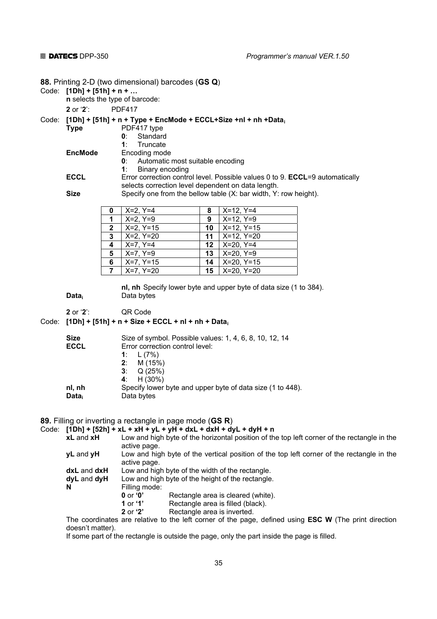**88.** Printing 2-D (two dimensional) barcodes (**GS Q**)

#### Code: **[1Dh] + [51h] + n + …**

 **n** selects the type of barcode:

 **2** or '**2**': PDF417

#### Code: **[1Dh] + [51h] + n + Type + EncMode + ECCL+Size +nl + nh +Datai**

| .<br><b>Type</b> | PDF417 type         |
|------------------|---------------------|
|                  | <b>0</b> : Standard |
|                  | 1: Truncate         |
| <b>EncMode</b>   | Encoding mode       |

**0**: Automatic most suitable encoding

**1**: Binary encoding<br>**ECCL** Error correction control Error correction control level. Possible values 0 to 9. **ECCL**=9 automatically selects correction level dependent on data length.

**Size** Specify one from the bellow table (X: bar width, Y: row height).

| 0              | $X=2, Y=4$   | 8                | $X=12, Y=4$        |
|----------------|--------------|------------------|--------------------|
| 1              | $X=2, Y=9$   | 9                | $X=12, Y=9$        |
| $\mathbf{2}$   | X=2, Y=15    |                  | 10   $X=12, Y=15$  |
| 3              | X=2, Y=20    | 11               | $X=12, Y=20$       |
| 4              | $X=7, Y=4$   | 12 <sup>12</sup> | $X=20, Y=4$        |
| 5              | $X=7, Y=9$   | 13               | $\vert$ X=20, Y=9  |
| 6              | X=7, Y=15    | 14               | $X=20, Y=15$       |
| $\overline{7}$ | $ X=7, Y=20$ | 15               | $\vert$ X=20, Y=20 |

 **nl, nh** Specify lower byte and upper byte of data size (1 to 384). Data<sub>i</sub> Data bytes

 **2** or '**2**': QR Code

#### Code: **[1Dh] + [51h] + n + Size + ECCL + nl + nh + Datai**

| <b>Size</b>       | Size of symbol. Possible values: 1, 4, 6, 8, 10, 12, 14    |
|-------------------|------------------------------------------------------------|
| <b>ECCL</b>       | Error correction control level:                            |
|                   | 1: $L(7%)$                                                 |
|                   | M (15%)<br>2:                                              |
|                   | Q (25%)<br>3: I                                            |
|                   | 4: $H(30%)$                                                |
| nl, nh            | Specify lower byte and upper byte of data size (1 to 448). |
| Data <sub>i</sub> | Data bytes                                                 |
|                   |                                                            |

#### **89.** Filling or inverting a rectangle in page mode (**GS R**)

#### Code: **[1Dh] + [52h] + xL + xH + yL + yH + dxL + dxH + dyL + dyH + n**

| <b>xL</b> and <b>xH</b> |               | Low and high byte of the horizontal position of the top left corner of the rectangle in the           |
|-------------------------|---------------|-------------------------------------------------------------------------------------------------------|
|                         | active page.  |                                                                                                       |
| $yL$ and $yH$           |               | Low and high byte of the vertical position of the top left corner of the rectangle in the             |
|                         | active page.  |                                                                                                       |
| dxL and dxH             |               | Low and high byte of the width of the rectangle.                                                      |
| dyL and dyH             |               | Low and high byte of the height of the rectangle.                                                     |
| N                       | Filling mode: |                                                                                                       |
|                         | 0 or $0'$     | Rectangle area is cleared (white).                                                                    |
|                         | 1 or $'1'$    | Rectangle area is filled (black).                                                                     |
|                         | $2$ or ' $2'$ | Rectangle area is inverted.                                                                           |
|                         |               | The coordinates are relative to the left corner of the page, defined using ESC W (The print direction |

doesn't matter).

If some part of the rectangle is outside the page, only the part inside the page is filled.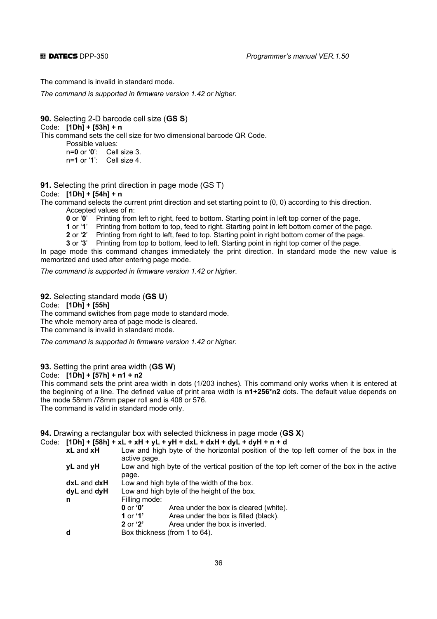The command is invalid in standard mode.

*The command is supported in firmware version 1.42 or higher.* 

**90.** Selecting 2-D barcode cell size (**GS S**) Code: **[1Dh] + [53h] + n**  This command sets the cell size for two dimensional barcode QR Code. Possible values: n=**0** or '**0**': Cell size 3. n=**1** or '**1**': Cell size 4.

**91.** Selecting the print direction in page mode (GS T)

Code: **[1Dh] + [54h] + n**

The command selects the current print direction and set starting point to (0, 0) according to this direction. Accepted values of **n**:

**0** or '0' Printing from left to right, feed to bottom. Starting point in left top corner of the page.

 **1** or '**1**' Printing from bottom to top, feed to right. Starting point in left bottom corner of the page.

 **2** or '**2**' Printing from right to left, feed to top. Starting point in right bottom corner of the page.

 **3** or '**3**' Printing from top to bottom, feed to left. Starting point in right top corner of the page.

In page mode this command changes immediately the print direction. In standard mode the new value is memorized and used after entering page mode.

*The command is supported in firmware version 1.42 or higher*.

**92.** Selecting standard mode (**GS U**)

Code: **[1Dh] + [55h]**

The command switches from page mode to standard mode.

The whole memory area of page mode is cleared.

The command is invalid in standard mode.

*The command is supported in firmware version 1.42 or higher.* 

#### **93.** Setting the print area width (**GS W**)

Code: **[1Dh] + [57h] + n1 + n2** 

This command sets the print area width in dots (1/203 inches). This command only works when it is entered at the beginning of a line. The defined value of print area width is **n1+256\*n2** dots. The default value depends on the mode 58mm /78mm paper roll and is 408 or 576.

The command is valid in standard mode only.

#### **94.** Drawing a rectangular box with selected thickness in page mode (**GS X**)

Code: **[1Dh] + [58h] + xL + xH + yL + yH + dxL + dxH + dyL + dyH + n + d xL** and **xH** Low and high byte of the horizontal position of the top left corner of the box in the active page.  **yL** and **yH** Low and high byte of the vertical position of the top left corner of the box in the active page. **dxL** and **dxH** Low and high byte of the width of the box.  **dyL** and **dyH** Low and high byte of the height of the box. **n** Filling mode:  **0** or **'0'** Area under the box is cleared (white). **1** or '**1'** Area under the box is filled (black).<br>**2** or '**2'** Area under the box is inverted. Area under the box is inverted. **d** Box thickness (from 1 to 64).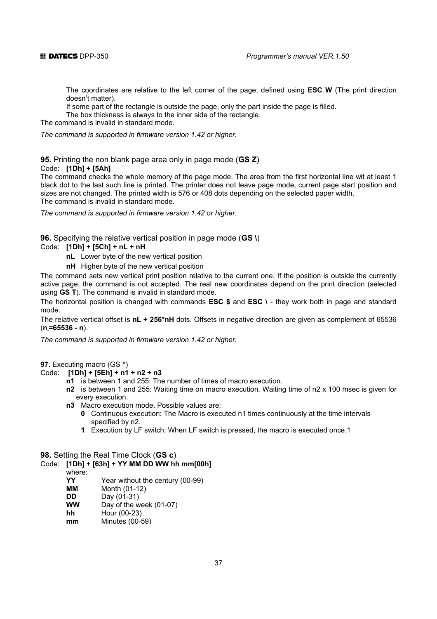

 The coordinates are relative to the left corner of the page, defined using **ESC W** (The print direction doesn't matter).

If some part of the rectangle is outside the page, only the part inside the page is filled.

The box thickness is always to the inner side of the rectangle.

The command is invalid in standard mode.

*The command is supported in firmware version 1.42 or higher.* 

#### **95.** Printing the non blank page area only in page mode (**GS Z**) Code: **[1Dh] + [5Ah]**

The command checks the whole memory of the page mode. The area from the first horizontal line wit at least 1 black dot to the last such line is printed. The printer does not leave page mode, current page start position and sizes are not changed. The printed width is 576 or 408 dots depending on the selected paper width. The command is invalid in standard mode.

*The command is supported in firmware version 1.42 or higher.* 

**96.** Specifying the relative vertical position in page mode (**GS \**)

### Code: **[1Dh] + [5Ch] + nL + nH**

- **nL** Lower byte of the new vertical position
- **nH** Higher byte of the new vertical position

The command sets new vertical print position relative to the current one. If the position is outside the currently active page, the command is not accepted. The real new coordinates depend on the print direction (selected using **GS T**). The command is invalid in standard mode.

The horizontal position is changed with commands **ESC \$** and **ESC \** - they work both in page and standard mode.

The relative vertical offset is **nL + 256\*nH** dots. Offsets in negative direction are given as complement of 65536 (**n-=65536 - n**).

*The command is supported in firmware version 1.42 or higher.* 

**97.** Executing macro (GS ^)

- Code: **[1Dh] + [5Еh] + n1 + n2 + n3**
	- **n1** is between 1 and 255: The number of times of macro execution.
	- **n2** is between 1 and 255: Waiting time on macro execution. Waiting time of n2 x 100 msec is given for every execution.
	- **n3** Macro execution mode. Possible values are:
		- **0** Continuous execution: The Macro is executed n1 times continuously at the time intervals specified by n2.
		- **1** Execution by LF switch: When LF switch is pressed, the macro is executed once.1

### **98.** Setting the Real Time Clock (**GS c**)

# Code: **[1Dh] + [63h] + YY MM DD WW hh mm[00h]**

- where:
- **YY** Year without the century (00-99)
- **MM** Month (01-12)
- **DD** Day (01-31)
- **WW** Day of the week (01-07)
- **hh** Hour (00-23)
- **mm** Minutes (00-59)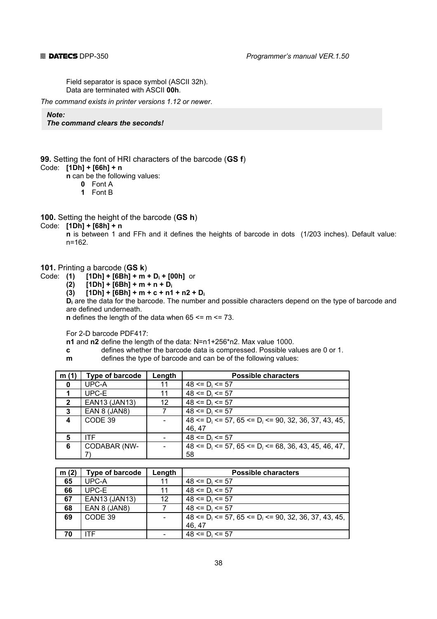Field separator is space symbol (ASCII 32h). Data are terminated with ASCII **00h**.

*The command exists in printer versions 1.12 or newer*.

*Note: The command clears the seconds!* 

**99.** Setting the font of HRI characters of the barcode (**GS f**)

Code: **[1Dh] + [66h] + n**

 **n** can be the following values:

- **0** Font A
- **1** Font B

**100.** Setting the height of the barcode (**GS h**)

#### Code: **[1Dh] + [68h] + n**

 **n** is between 1 and FFh and it defines the heights of barcode in dots (1/203 inches). Default value: n=162.

**101.** Printing a barcode (**GS k**)

- Code: **(1) [1Dh] + [6Bh] + m + D<sub>i</sub> + [00h]** or<br>**(2) [1Dh] + [6Bh] + m + n + D<sub>i</sub>** 
	- **(2) [1Dh] + [6Bh] + m + n + Di**
	- $[1Dh] + [6Bh] + m + c + n1 + n2 + D_i$

 **Di** are the data for the barcode. The number and possible characters depend on the type of barcode and are defined underneath.

**n** defines the length of the data when 65  $\leq$  m  $\leq$  73.

For 2-D barcode PDF417:

 **n1** and **n2** define the length of the data: N=n1+256\*n2. Max value 1000.

- **c** defines whether the barcode data is compressed. Possible values are 0 or 1.
- **m defines the type of barcode and can be of the following values:**

| m (1)        | Type of barcode     | Length | <b>Possible characters</b>                                      |
|--------------|---------------------|--------|-----------------------------------------------------------------|
| 0            | UPC-A               | 11     | $48 \le D_i \le 57$                                             |
|              | UPC-E               | 11     | $48 \le D_i \le 57$                                             |
| $\mathbf{2}$ | EAN13 (JAN13)       | 12     | $48 \le D_i \le 57$                                             |
| 3            | EAN 8 (JAN8)        |        | $48 \le D_i \le 57$                                             |
| 4            | CODE 39             |        | $48 \le D_i \le 57$ , 65 $\le D_i \le 90$ , 32, 36, 37, 43, 45, |
|              |                     |        | 46.47                                                           |
| 5            | <b>ITF</b>          |        | $48 \le D_i \le 57$                                             |
| 6            | <b>CODABAR (NW-</b> |        | $48 \le D_i \le 57$ , 65 $\le D_i \le 68$ , 36, 43, 45, 46, 47, |
|              |                     |        | 58                                                              |

| m(2) | <b>Type of barcode</b> | Length | <b>Possible characters</b>                                      |  |
|------|------------------------|--------|-----------------------------------------------------------------|--|
| 65   | UPC-A                  | 11     | $48 \le D_i \le 57$                                             |  |
| 66   | UPC-E                  | 11     | $48 \le D_i \le 57$                                             |  |
| 67   | EAN13 (JAN13)          | 12     | $48 \le D_i \le 57$                                             |  |
| 68   | EAN 8 (JAN8)           |        | $48 \le D_i \le 57$                                             |  |
| 69   | CODE 39                |        | $48 \le D_i \le 57$ , 65 $\le D_i \le 90$ , 32, 36, 37, 43, 45, |  |
|      |                        |        | 46, 47                                                          |  |
| 70   | ITF                    |        | $48 \le D_i \le 57$                                             |  |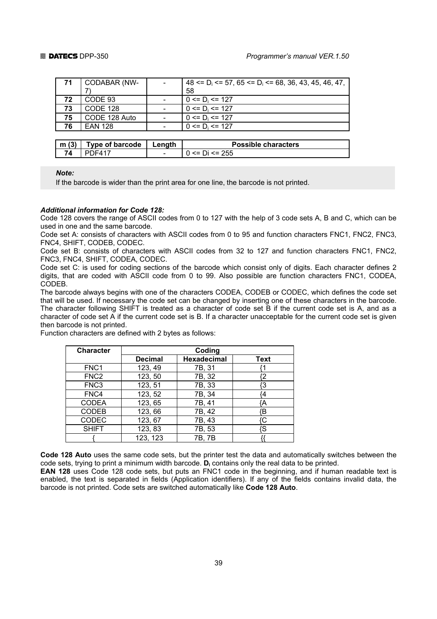| 71   | CODABAR (NW-           |        | $48 \le D_i \le 57$ , $65 \le D_i \le 68$ , $36$ , $43$ , $45$ , $46$ , $47$ , |
|------|------------------------|--------|--------------------------------------------------------------------------------|
|      |                        |        | 58                                                                             |
| 72   | CODE 93                |        | $0 \le D_i \le 127$                                                            |
| 73   | <b>CODE 128</b>        |        | $0 \le D_i \le 127$                                                            |
| 75   | CODE 128 Auto          |        | $0 \le D_i \le 127$                                                            |
| 76   | <b>EAN 128</b>         |        | $0 \le D_i \le 127$                                                            |
|      |                        |        |                                                                                |
| m(3) | <b>Type of barcode</b> | Length | <b>Possible characters</b>                                                     |
| 74   | <b>PDF417</b>          |        | $0 \le D$ i $\le 255$                                                          |

*Note:* 

If the barcode is wider than the print area for one line, the barcode is not printed.

#### *Additional information for Code 128:*

Code 128 covers the range of ASCII codes from 0 to 127 with the help of 3 code sets A, B and C, which can be used in one and the same barcode.

Code set A: consists of characters with ASCII codes from 0 to 95 and function characters FNC1, FNC2, FNC3, FNC4, SHIFT, CODEB, CODEC.

Code set B: consists of characters with ASCII codes from 32 to 127 and function characters FNC1, FNC2, FNC3, FNC4, SHIFT, CODEА, CODEC.

Code set C: is used for coding sections of the barcode which consist only of digits. Each character defines 2 digits, that are coded with ASCII code from 0 to 99. Also possible are function characters FNC1, CODEA, CODEB.

The barcode always begins with one of the characters CODEA, CODEB or CODEC, which defines the code set that will be used. If necessary the code set can be changed by inserting one of these characters in the barcode. The character following SHIFT is treated as a character of code set B if the current code set is A, and as a character of code set A if the current code set is B. If a character unacceptable for the current code set is given then barcode is not printed.

Function characters are defined with 2 bytes as follows:

| <b>Character</b> | Coding         |                    |             |  |  |  |
|------------------|----------------|--------------------|-------------|--|--|--|
|                  | <b>Decimal</b> | <b>Hexadecimal</b> | <b>Text</b> |  |  |  |
| FNC <sub>1</sub> | 123, 49        | 7B, 31             |             |  |  |  |
| FNC <sub>2</sub> | 123, 50        | 7B, 32             |             |  |  |  |
| FNC <sub>3</sub> | 123, 51        | 7B, 33             |             |  |  |  |
| FNC4             | 123, 52        | 7B, 34             | 4           |  |  |  |
| <b>CODEA</b>     | 123, 65        | 7B, 41             | Ά           |  |  |  |
| <b>CODEB</b>     | 123,66         | 7B, 42             | ſΒ          |  |  |  |
| CODEC            | 123, 67        | 7B, 43             | ſC.         |  |  |  |
| <b>SHIFT</b>     | 123, 83        | 7B, 53             | 'S          |  |  |  |
|                  | 123, 123       | 7B, 7B             |             |  |  |  |

**Code 128 Auto** uses the same code sets, but the printer test the data and automatically switches between the code sets, trying to print a minimum width barcode. **Di** contains only the real data to be printed.

**EAN 128** uses Code 128 code sets, but puts an FNC1 code in the beginning, and if human readable text is enabled, the text is separated in fields (Application identifiers). If any of the fields contains invalid data, the barcode is not printed. Code sets are switched automatically like **Code 128 Auto**.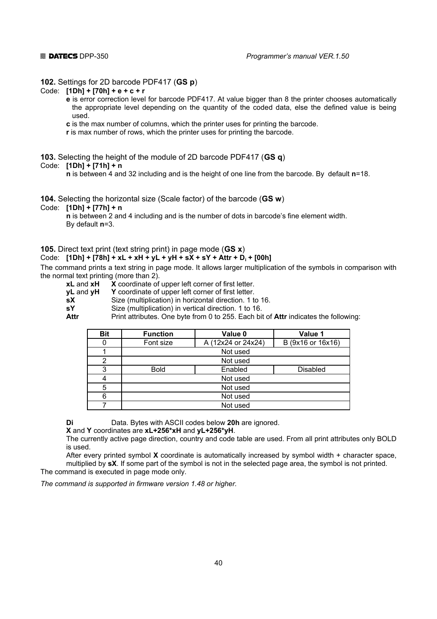#### **102.** Settings for 2D barcode PDF417 (**GS p**)

#### Code: **[1Dh] + [70h] + e + c + r**

- **e** is error correction level for barcode PDF417. At value bigger than 8 the printer chooses automatically the appropriate level depending on the quantity of the coded data, else the defined value is being used.
- **c** is the max number of columns, which the printer uses for printing the barcode.
- **r** is max number of rows, which the printer uses for printing the barcode.

**103.** Selecting the height of the module of 2D barcode PDF417 (**GS q**)

#### Code: **[1Dh] + [71h] + n**

 **n** is between 4 and 32 including and is the height of one line from the barcode. By default **n**=18.

### **104.** Selecting the horizontal size (Scale factor) of the barcode (**GS w**)

Code: **[1Dh] + [77h] + n**

 **n** is between 2 and 4 including and is the number of dots in barcode's fine element width. By default **n**=3.

#### **105.** Direct text print (text string print) in page mode (**GS x**)

#### Code: **[1Dh] + [78h] + xL + xH + yL + yH + sX + sY + Attr + Di + [00h]**

The command prints a text string in page mode. It allows larger multiplication of the symbols in comparison with the normal text printing (more than 2).

- **xL** and **xH X** coordinate of upper left corner of first letter.
- **yL** and **yH Y** coordinate of upper left corner of first letter.

**sX** Size (multiplication) in horizontal direction. 1 to 16.

 **sY** Size (multiplication) in vertical direction. 1 to 16.

**Attr** Print attributes. One byte from 0 to 255. Each bit of **Attr** indicates the following:

| <b>Bit</b> | <b>Function</b> | Value 0            | Value 1           |  |
|------------|-----------------|--------------------|-------------------|--|
|            | Font size       | A (12x24 or 24x24) | B (9x16 or 16x16) |  |
|            |                 | Not used           |                   |  |
| 2          |                 | Not used           |                   |  |
| 3          | <b>Bold</b>     | Enabled            | <b>Disabled</b>   |  |
|            | Not used        |                    |                   |  |
| 5          | Not used        |                    |                   |  |
| 6          | Not used        |                    |                   |  |
|            | Not used        |                    |                   |  |

 **Di** Data. Bytes with ASCII codes below **20h** are ignored.

 **X** and **Y** coordinates are **xL+256\*xH** and **yL+256\*yH**.

 The currently active page direction, country and code table are used. From all print attributes only BOLD is used.

 After every printed symbol **X** coordinate is automatically increased by symbol width + character space, multiplied by **sX**. If some part of the symbol is not in the selected page area, the symbol is not printed. The command is executed in page mode only.

*The command is supported in firmware version 1.48 or higher.*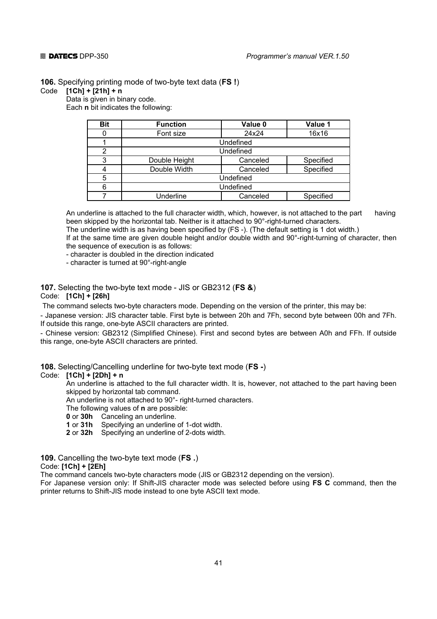**106.** Specifying printing mode of two-byte text data (**FS !**)

#### Code **[1Ch] + [21h] + n**

Data is given in binary code.

Each **n** bit indicates the following:

| <b>Bit</b> | <b>Function</b>  | Value 0  | Value 1   |
|------------|------------------|----------|-----------|
|            | Font size        | 24x24    | 16x16     |
|            | Undefined        |          |           |
| 2          | Undefined        |          |           |
| 3          | Double Height    | Canceled | Specified |
|            | Double Width     | Canceled | Specified |
| 5          | Undefined        |          |           |
| 6          | Undefined        |          |           |
|            | <b>Underline</b> | Canceled | Specified |

 An underline is attached to the full character width, which, however, is not attached to the part having been skipped by the horizontal tab. Neither is it attached to 90°-right-turned characters. The underline width is as having been specified by (FS -). (The default setting is 1 dot width.) If at the same time are given double height and/or double width and 90°-right-turning of character, then

 the sequence of execution is as follows: - character is doubled in the direction indicated

- character is turned at 90°-right-angle

# **107.** Selecting the two-byte text mode - JIS or GB2312 (**FS &**)

### Code: **[1Ch] + [26h]**

The command selects two-byte characters mode. Depending on the version of the printer, this may be:

- Japanese version: JIS character table. First byte is between 20h and 7Fh, second byte between 00h and 7Fh. If outside this range, one-byte ASCII characters are printed.

- Chinese version: GB2312 (Simplified Chinese). First and second bytes are between A0h and FFh. If outside this range, one-byte ASCII characters are printed.

**108.** Selecting/Cancelling underline for two-byte text mode (**FS -**)

#### Code: **[1Ch] + [2Dh] + n**

 An underline is attached to the full character width. It is, however, not attached to the part having been skipped by horizontal tab command.

An underline is not attached to 90°- right-turned characters.

The following values of **n** are possible:

 **0** or **30h** Canceling an underline.

 **1** or **31h** Specifying an underline of 1-dot width.

 **2** or **32h** Specifying an underline of 2-dots width.

**109.** Cancelling the two-byte text mode (**FS .**)

#### Code: **[1Ch] + [2Eh]**

The command cancels two-byte characters mode (JIS or GB2312 depending on the version).

For Japanese version only: If Shift-JIS character mode was selected before using **FS C** command, then the printer returns to Shift-JIS mode instead to one byte ASCII text mode.